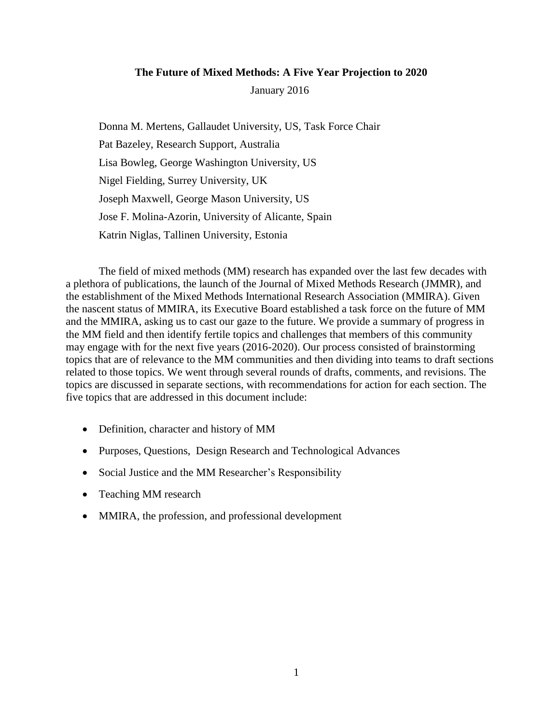## **The Future of Mixed Methods: A Five Year Projection to 2020**

January 2016

Donna M. Mertens, Gallaudet University, US, Task Force Chair Pat Bazeley, Research Support, Australia Lisa Bowleg, George Washington University, US Nigel Fielding, Surrey University, UK Joseph Maxwell, George Mason University, US Jose F. Molina-Azorin, University of Alicante, Spain Katrin Niglas, Tallinen University, Estonia

The field of mixed methods (MM) research has expanded over the last few decades with a plethora of publications, the launch of the Journal of Mixed Methods Research (JMMR), and the establishment of the Mixed Methods International Research Association (MMIRA). Given the nascent status of MMIRA, its Executive Board established a task force on the future of MM and the MMIRA, asking us to cast our gaze to the future. We provide a summary of progress in the MM field and then identify fertile topics and challenges that members of this community may engage with for the next five years (2016-2020). Our process consisted of brainstorming topics that are of relevance to the MM communities and then dividing into teams to draft sections related to those topics. We went through several rounds of drafts, comments, and revisions. The topics are discussed in separate sections, with recommendations for action for each section. The five topics that are addressed in this document include:

- Definition, character and history of MM
- Purposes, Questions, Design Research and Technological Advances
- Social Justice and the MM Researcher's Responsibility
- Teaching MM research
- MMIRA, the profession, and professional development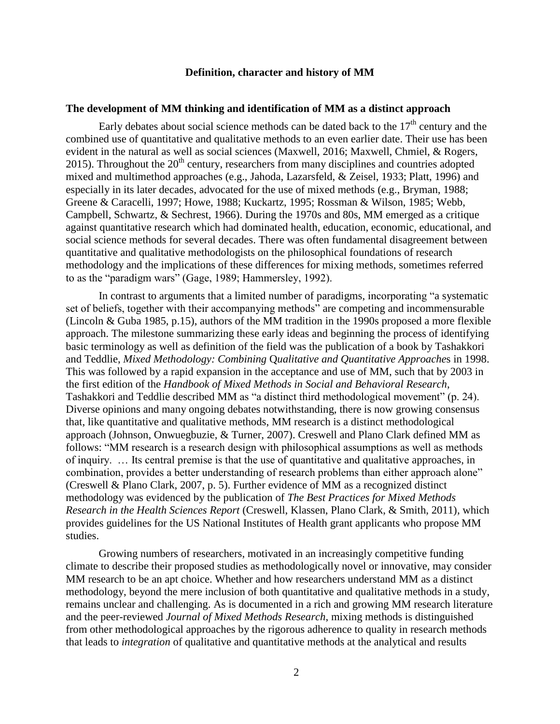### **Definition, character and history of MM**

#### **The development of MM thinking and identification of MM as a distinct approach**

Early debates about social science methods can be dated back to the  $17<sup>th</sup>$  century and the combined use of quantitative and qualitative methods to an even earlier date. Their use has been evident in the natural as well as social sciences (Maxwell, 2016; Maxwell, Chmiel, & Rogers, 2015). Throughout the  $20<sup>th</sup>$  century, researchers from many disciplines and countries adopted mixed and multimethod approaches (e.g., Jahoda, Lazarsfeld, & Zeisel, 1933; Platt, 1996) and especially in its later decades, advocated for the use of mixed methods (e.g., Bryman, 1988; Greene & Caracelli, 1997; Howe, 1988; Kuckartz, 1995; Rossman & Wilson, 1985; Webb, Campbell, Schwartz, & Sechrest, 1966). During the 1970s and 80s, MM emerged as a critique against quantitative research which had dominated health, education, economic, educational, and social science methods for several decades. There was often fundamental disagreement between quantitative and qualitative methodologists on the philosophical foundations of research methodology and the implications of these differences for mixing methods, sometimes referred to as the "paradigm wars" (Gage, 1989; Hammersley, 1992).

In contrast to arguments that a limited number of paradigms, incorporating "a systematic set of beliefs, together with their accompanying methods" are competing and incommensurable (Lincoln & Guba 1985, p.15), authors of the MM tradition in the 1990s proposed a more flexible approach. The milestone summarizing these early ideas and beginning the process of identifying basic terminology as well as definition of the field was the publication of a book by Tashakkori and Teddlie, *Mixed Methodology: Combining* Q*ualitative and Quantitative Approache*s in 1998. This was followed by a rapid expansion in the acceptance and use of MM, such that by 2003 in the first edition of the *Handbook of Mixed Methods in Social and Behavioral Research*, Tashakkori and Teddlie described MM as "a distinct third methodological movement" (p. 24). Diverse opinions and many ongoing debates notwithstanding, there is now growing consensus that, like quantitative and qualitative methods, MM research is a distinct methodological approach (Johnson, Onwuegbuzie, & Turner, 2007). Creswell and Plano Clark defined MM as follows: "MM research is a research design with philosophical assumptions as well as methods of inquiry. … Its central premise is that the use of quantitative and qualitative approaches, in combination, provides a better understanding of research problems than either approach alone" (Creswell & Plano Clark, 2007, p. 5). Further evidence of MM as a recognized distinct methodology was evidenced by the publication of *The Best Practices for Mixed Methods Research in the Health Sciences Report* (Creswell, Klassen, Plano Clark, & Smith, 2011), which provides guidelines for the US National Institutes of Health grant applicants who propose MM studies.

Growing numbers of researchers, motivated in an increasingly competitive funding climate to describe their proposed studies as methodologically novel or innovative, may consider MM research to be an apt choice. Whether and how researchers understand MM as a distinct methodology, beyond the mere inclusion of both quantitative and qualitative methods in a study, remains unclear and challenging. As is documented in a rich and growing MM research literature and the peer-reviewed *Journal of Mixed Methods Research*, mixing methods is distinguished from other methodological approaches by the rigorous adherence to quality in research methods that leads to *integration* of qualitative and quantitative methods at the analytical and results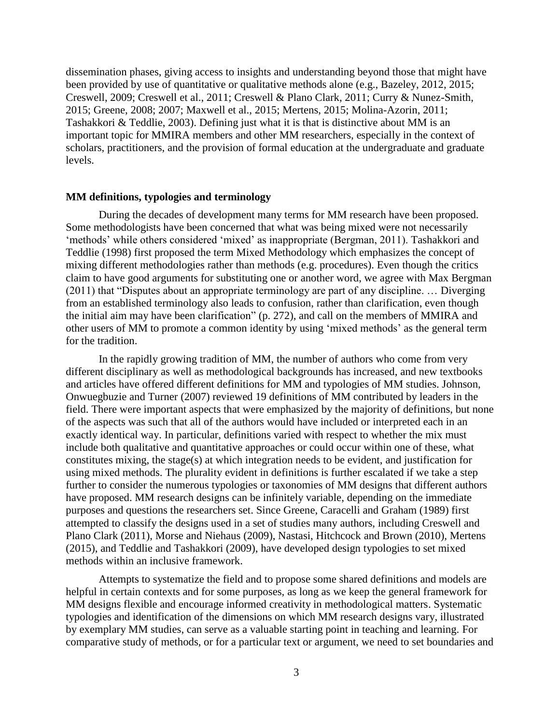dissemination phases, giving access to insights and understanding beyond those that might have been provided by use of quantitative or qualitative methods alone (e.g., Bazeley, 2012, 2015; Creswell, 2009; Creswell et al., 2011; Creswell & Plano Clark, 2011; Curry & Nunez-Smith, 2015; Greene, 2008; 2007; Maxwell et al., 2015; Mertens, 2015; Molina-Azorin, 2011; Tashakkori & Teddlie, 2003). Defining just what it is that is distinctive about MM is an important topic for MMIRA members and other MM researchers, especially in the context of scholars, practitioners, and the provision of formal education at the undergraduate and graduate levels.

#### **MM definitions, typologies and terminology**

During the decades of development many terms for MM research have been proposed. Some methodologists have been concerned that what was being mixed were not necessarily 'methods' while others considered 'mixed' as inappropriate (Bergman, 2011). Tashakkori and Teddlie (1998) first proposed the term Mixed Methodology which emphasizes the concept of mixing different methodologies rather than methods (e.g. procedures). Even though the critics claim to have good arguments for substituting one or another word, we agree with Max Bergman (2011) that "Disputes about an appropriate terminology are part of any discipline. … Diverging from an established terminology also leads to confusion, rather than clarification, even though the initial aim may have been clarification" (p. 272), and call on the members of MMIRA and other users of MM to promote a common identity by using 'mixed methods' as the general term for the tradition.

In the rapidly growing tradition of MM, the number of authors who come from very different disciplinary as well as methodological backgrounds has increased, and new textbooks and articles have offered different definitions for MM and typologies of MM studies. Johnson, Onwuegbuzie and Turner (2007) reviewed 19 definitions of MM contributed by leaders in the field. There were important aspects that were emphasized by the majority of definitions, but none of the aspects was such that all of the authors would have included or interpreted each in an exactly identical way. In particular, definitions varied with respect to whether the mix must include both qualitative and quantitative approaches or could occur within one of these, what constitutes mixing, the stage(s) at which integration needs to be evident, and justification for using mixed methods. The plurality evident in definitions is further escalated if we take a step further to consider the numerous typologies or taxonomies of MM designs that different authors have proposed. MM research designs can be infinitely variable, depending on the immediate purposes and questions the researchers set. Since Greene, Caracelli and Graham (1989) first attempted to classify the designs used in a set of studies many authors, including Creswell and Plano Clark (2011), Morse and Niehaus (2009), Nastasi, Hitchcock and Brown (2010), Mertens (2015), and Teddlie and Tashakkori (2009), have developed design typologies to set mixed methods within an inclusive framework.

Attempts to systematize the field and to propose some shared definitions and models are helpful in certain contexts and for some purposes, as long as we keep the general framework for MM designs flexible and encourage informed creativity in methodological matters. Systematic typologies and identification of the dimensions on which MM research designs vary, illustrated by exemplary MM studies, can serve as a valuable starting point in teaching and learning. For comparative study of methods, or for a particular text or argument, we need to set boundaries and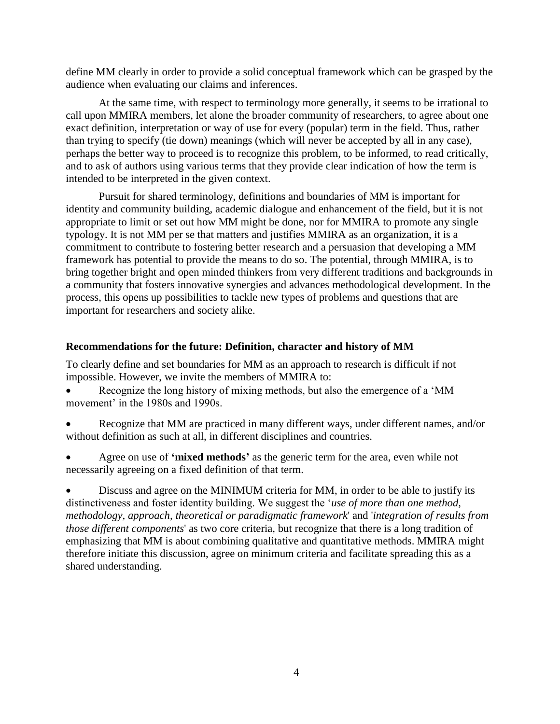define MM clearly in order to provide a solid conceptual framework which can be grasped by the audience when evaluating our claims and inferences.

At the same time, with respect to terminology more generally, it seems to be irrational to call upon MMIRA members, let alone the broader community of researchers, to agree about one exact definition, interpretation or way of use for every (popular) term in the field. Thus, rather than trying to specify (tie down) meanings (which will never be accepted by all in any case), perhaps the better way to proceed is to recognize this problem, to be informed, to read critically, and to ask of authors using various terms that they provide clear indication of how the term is intended to be interpreted in the given context.

Pursuit for shared terminology, definitions and boundaries of MM is important for identity and community building, academic dialogue and enhancement of the field, but it is not appropriate to limit or set out how MM might be done, nor for MMIRA to promote any single typology. It is not MM per se that matters and justifies MMIRA as an organization, it is a commitment to contribute to fostering better research and a persuasion that developing a MM framework has potential to provide the means to do so. The potential, through MMIRA, is to bring together bright and open minded thinkers from very different traditions and backgrounds in a community that fosters innovative synergies and advances methodological development. In the process, this opens up possibilities to tackle new types of problems and questions that are important for researchers and society alike.

## **Recommendations for the future: Definition, character and history of MM**

To clearly define and set boundaries for MM as an approach to research is difficult if not impossible. However, we invite the members of MMIRA to:

 Recognize the long history of mixing methods, but also the emergence of a 'MM movement' in the 1980s and 1990s.

- Recognize that MM are practiced in many different ways, under different names, and/or without definition as such at all, in different disciplines and countries.
- Agree on use of **'mixed methods'** as the generic term for the area, even while not necessarily agreeing on a fixed definition of that term.

 Discuss and agree on the MINIMUM criteria for MM, in order to be able to justify its distinctiveness and foster identity building. We suggest the '*use of more than one method, methodology, approach, theoretical or paradigmatic framework*' and '*integration of results from those different components*' as two core criteria, but recognize that there is a long tradition of emphasizing that MM is about combining qualitative and quantitative methods. MMIRA might therefore initiate this discussion, agree on minimum criteria and facilitate spreading this as a shared understanding.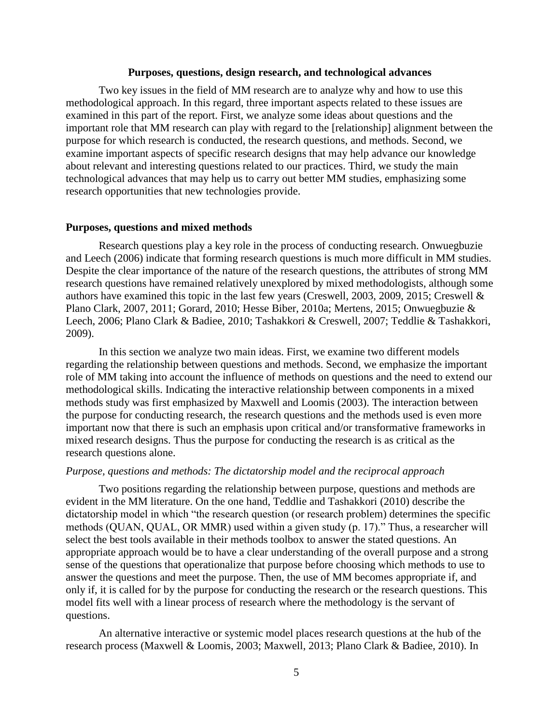### **Purposes, questions, design research, and technological advances**

Two key issues in the field of MM research are to analyze why and how to use this methodological approach. In this regard, three important aspects related to these issues are examined in this part of the report. First, we analyze some ideas about questions and the important role that MM research can play with regard to the [relationship] alignment between the purpose for which research is conducted, the research questions, and methods. Second, we examine important aspects of specific research designs that may help advance our knowledge about relevant and interesting questions related to our practices. Third, we study the main technological advances that may help us to carry out better MM studies, emphasizing some research opportunities that new technologies provide.

#### **Purposes, questions and mixed methods**

Research questions play a key role in the process of conducting research. Onwuegbuzie and Leech (2006) indicate that forming research questions is much more difficult in MM studies. Despite the clear importance of the nature of the research questions, the attributes of strong MM research questions have remained relatively unexplored by mixed methodologists, although some authors have examined this topic in the last few years (Creswell, 2003, 2009, 2015; Creswell & Plano Clark, 2007, 2011; Gorard, 2010; Hesse Biber, 2010a; Mertens, 2015; Onwuegbuzie & Leech, 2006; Plano Clark & Badiee, 2010; Tashakkori & Creswell, 2007; Teddlie & Tashakkori, 2009).

In this section we analyze two main ideas. First, we examine two different models regarding the relationship between questions and methods. Second, we emphasize the important role of MM taking into account the influence of methods on questions and the need to extend our methodological skills. Indicating the interactive relationship between components in a mixed methods study was first emphasized by Maxwell and Loomis (2003). The interaction between the purpose for conducting research, the research questions and the methods used is even more important now that there is such an emphasis upon critical and/or transformative frameworks in mixed research designs. Thus the purpose for conducting the research is as critical as the research questions alone.

#### *Purpose, questions and methods: The dictatorship model and the reciprocal approach*

Two positions regarding the relationship between purpose, questions and methods are evident in the MM literature. On the one hand, Teddlie and Tashakkori (2010) describe the dictatorship model in which "the research question (or research problem) determines the specific methods (QUAN, QUAL, OR MMR) used within a given study (p. 17)." Thus, a researcher will select the best tools available in their methods toolbox to answer the stated questions. An appropriate approach would be to have a clear understanding of the overall purpose and a strong sense of the questions that operationalize that purpose before choosing which methods to use to answer the questions and meet the purpose. Then, the use of MM becomes appropriate if, and only if, it is called for by the purpose for conducting the research or the research questions. This model fits well with a linear process of research where the methodology is the servant of questions.

An alternative interactive or systemic model places research questions at the hub of the research process (Maxwell & Loomis, 2003; Maxwell, 2013; Plano Clark & Badiee, 2010). In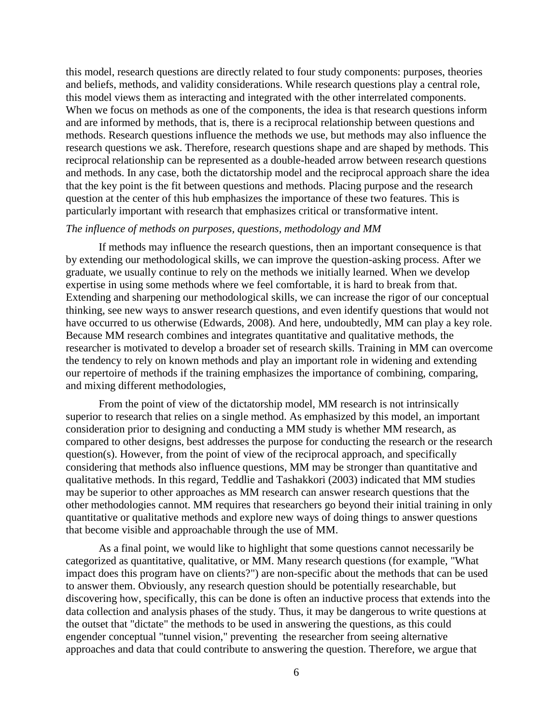this model, research questions are directly related to four study components: purposes, theories and beliefs, methods, and validity considerations. While research questions play a central role, this model views them as interacting and integrated with the other interrelated components. When we focus on methods as one of the components, the idea is that research questions inform and are informed by methods, that is, there is a reciprocal relationship between questions and methods. Research questions influence the methods we use, but methods may also influence the research questions we ask. Therefore, research questions shape and are shaped by methods. This reciprocal relationship can be represented as a double-headed arrow between research questions and methods. In any case, both the dictatorship model and the reciprocal approach share the idea that the key point is the fit between questions and methods. Placing purpose and the research question at the center of this hub emphasizes the importance of these two features. This is particularly important with research that emphasizes critical or transformative intent.

## *The influence of methods on purposes, questions, methodology and MM*

If methods may influence the research questions, then an important consequence is that by extending our methodological skills, we can improve the question-asking process. After we graduate, we usually continue to rely on the methods we initially learned. When we develop expertise in using some methods where we feel comfortable, it is hard to break from that. Extending and sharpening our methodological skills, we can increase the rigor of our conceptual thinking, see new ways to answer research questions, and even identify questions that would not have occurred to us otherwise (Edwards, 2008). And here, undoubtedly, MM can play a key role. Because MM research combines and integrates quantitative and qualitative methods, the researcher is motivated to develop a broader set of research skills. Training in MM can overcome the tendency to rely on known methods and play an important role in widening and extending our repertoire of methods if the training emphasizes the importance of combining, comparing, and mixing different methodologies,

From the point of view of the dictatorship model, MM research is not intrinsically superior to research that relies on a single method. As emphasized by this model, an important consideration prior to designing and conducting a MM study is whether MM research, as compared to other designs, best addresses the purpose for conducting the research or the research question(s). However, from the point of view of the reciprocal approach, and specifically considering that methods also influence questions, MM may be stronger than quantitative and qualitative methods. In this regard, Teddlie and Tashakkori (2003) indicated that MM studies may be superior to other approaches as MM research can answer research questions that the other methodologies cannot. MM requires that researchers go beyond their initial training in only quantitative or qualitative methods and explore new ways of doing things to answer questions that become visible and approachable through the use of MM.

As a final point, we would like to highlight that some questions cannot necessarily be categorized as quantitative, qualitative, or MM. Many research questions (for example, "What impact does this program have on clients?") are non-specific about the methods that can be used to answer them. Obviously, any research question should be potentially researchable, but discovering how, specifically, this can be done is often an inductive process that extends into the data collection and analysis phases of the study. Thus, it may be dangerous to write questions at the outset that "dictate" the methods to be used in answering the questions, as this could engender conceptual "tunnel vision," preventing the researcher from seeing alternative approaches and data that could contribute to answering the question. Therefore, we argue that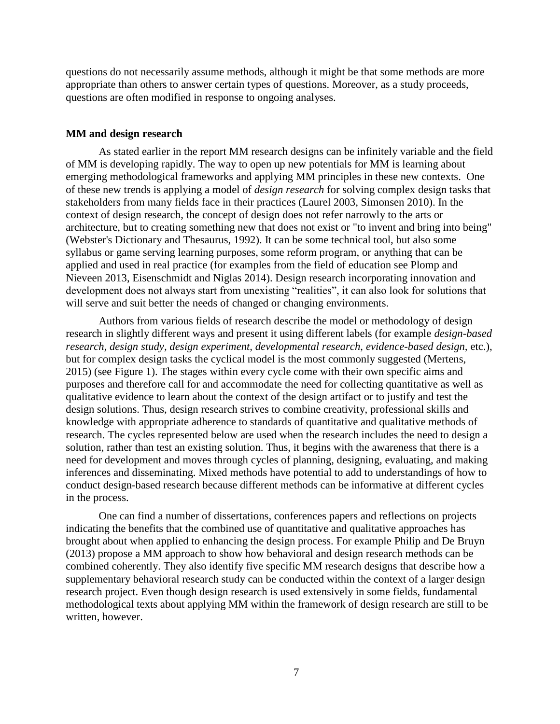questions do not necessarily assume methods, although it might be that some methods are more appropriate than others to answer certain types of questions. Moreover, as a study proceeds, questions are often modified in response to ongoing analyses.

### **MM and design research**

As stated earlier in the report MM research designs can be infinitely variable and the field of MM is developing rapidly. The way to open up new potentials for MM is learning about emerging methodological frameworks and applying MM principles in these new contexts. One of these new trends is applying a model of *design research* for solving complex design tasks that stakeholders from many fields face in their practices (Laurel 2003, Simonsen 2010). In the context of design research, the concept of design does not refer narrowly to the arts or architecture, but to creating something new that does not exist or "to invent and bring into being" (Webster's Dictionary and Thesaurus, 1992). It can be some technical tool, but also some syllabus or game serving learning purposes, some reform program, or anything that can be applied and used in real practice (for examples from the field of education see Plomp and Nieveen 2013, Eisenschmidt and Niglas 2014). Design research incorporating innovation and development does not always start from unexisting "realities", it can also look for solutions that will serve and suit better the needs of changed or changing environments.

Authors from various fields of research describe the model or methodology of design research in slightly different ways and present it using different labels (for example *design-based research, design study, design experiment, developmental research*, *evidence-based design,* etc.), but for complex design tasks the cyclical model is the most commonly suggested (Mertens, 2015) (see Figure 1). The stages within every cycle come with their own specific aims and purposes and therefore call for and accommodate the need for collecting quantitative as well as qualitative evidence to learn about the context of the design artifact or to justify and test the design solutions. Thus, design research strives to combine creativity, professional skills and knowledge with appropriate adherence to standards of quantitative and qualitative methods of research. The cycles represented below are used when the research includes the need to design a solution, rather than test an existing solution. Thus, it begins with the awareness that there is a need for development and moves through cycles of planning, designing, evaluating, and making inferences and disseminating. Mixed methods have potential to add to understandings of how to conduct design-based research because different methods can be informative at different cycles in the process.

One can find a number of dissertations, conferences papers and reflections on projects indicating the benefits that the combined use of quantitative and qualitative approaches has brought about when applied to enhancing the design process. For example Philip and De Bruyn (2013) propose a MM approach to show how behavioral and design research methods can be combined coherently. They also identify five specific MM research designs that describe how a supplementary behavioral research study can be conducted within the context of a larger design research project. Even though design research is used extensively in some fields, fundamental methodological texts about applying MM within the framework of design research are still to be written, however.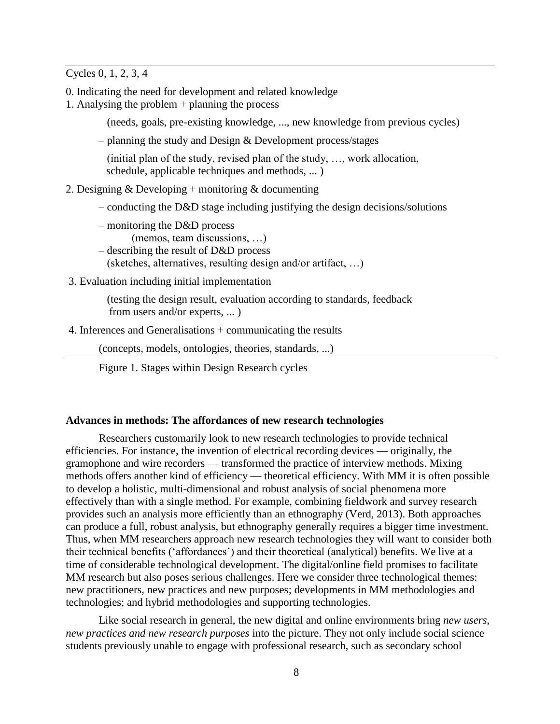Cycles 0, 1, 2, 3, 4

- 0. Indicating the need for development and related knowledge
- 1. Analysing the problem + planning the process
	- (needs, goals, pre-existing knowledge, ..., new knowledge from previous cycles)
	- planning the study and Design & Development process/stages

 (initial plan of the study, revised plan of the study, …, work allocation, schedule, applicable techniques and methods, ... )

- 2. Designing  $&$  Developing + monitoring  $&$  documenting
	- conducting the D&D stage including justifying the design decisions/solutions
	- monitoring the D&D process
		- (memos, team discussions, …)
	- describing the result of D&D process
		- (sketches, alternatives, resulting design and/or artifact, …)
- 3. Evaluation including initial implementation

 (testing the design result, evaluation according to standards, feedback from users and/or experts, ... )

4. Inferences and Generalisations + communicating the results

(concepts, models, ontologies, theories, standards, ...)

Figure 1. Stages within Design Research cycles

## **Advances in methods: The affordances of new research technologies**

Researchers customarily look to new research technologies to provide technical efficiencies. For instance, the invention of electrical recording devices — originally, the gramophone and wire recorders — transformed the practice of interview methods. Mixing methods offers another kind of efficiency — theoretical efficiency. With MM it is often possible to develop a holistic, multi-dimensional and robust analysis of social phenomena more effectively than with a single method. For example, combining fieldwork and survey research provides such an analysis more efficiently than an ethnography (Verd, 2013). Both approaches can produce a full, robust analysis, but ethnography generally requires a bigger time investment. Thus, when MM researchers approach new research technologies they will want to consider both their technical benefits ('affordances') and their theoretical (analytical) benefits. We live at a time of considerable technological development. The digital/online field promises to facilitate MM research but also poses serious challenges. Here we consider three technological themes: new practitioners, new practices and new purposes; developments in MM methodologies and technologies; and hybrid methodologies and supporting technologies.

Like social research in general, the new digital and online environments bring *new users, new practices and new research purposes* into the picture. They not only include social science students previously unable to engage with professional research, such as secondary school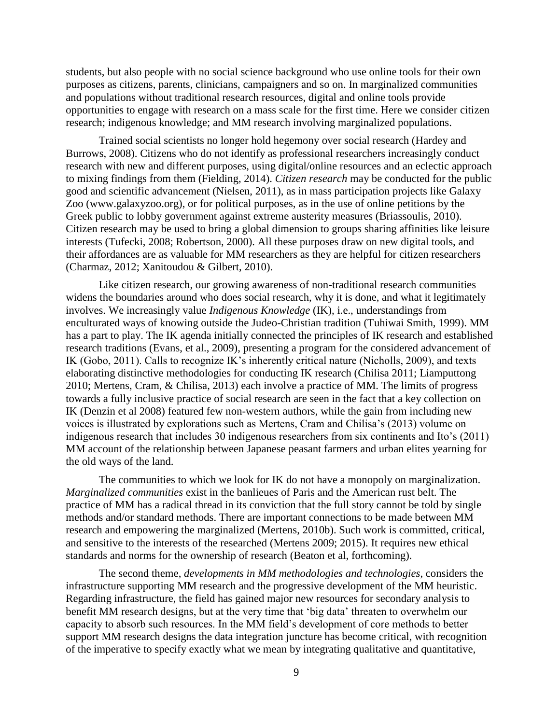students, but also people with no social science background who use online tools for their own purposes as citizens, parents, clinicians, campaigners and so on. In marginalized communities and populations without traditional research resources, digital and online tools provide opportunities to engage with research on a mass scale for the first time. Here we consider citizen research; indigenous knowledge; and MM research involving marginalized populations.

Trained social scientists no longer hold hegemony over social research (Hardey and Burrows, 2008). Citizens who do not identify as professional researchers increasingly conduct research with new and different purposes, using digital/online resources and an eclectic approach to mixing findings from them (Fielding, 2014). *Citizen research* may be conducted for the public good and scientific advancement (Nielsen, 2011), as in mass participation projects like Galaxy Zoo (www.galaxyzoo.org), or for political purposes, as in the use of online petitions by the Greek public to lobby government against extreme austerity measures (Briassoulis, 2010). Citizen research may be used to bring a global dimension to groups sharing affinities like leisure interests (Tufecki, 2008; Robertson, 2000). All these purposes draw on new digital tools, and their affordances are as valuable for MM researchers as they are helpful for citizen researchers (Charmaz, 2012; Xanitoudou & Gilbert, 2010).

Like citizen research, our growing awareness of non-traditional research communities widens the boundaries around who does social research, why it is done, and what it legitimately involves. We increasingly value *Indigenous Knowledge* (IK), i.e., understandings from enculturated ways of knowing outside the Judeo-Christian tradition (Tuhiwai Smith, 1999). MM has a part to play. The IK agenda initially connected the principles of IK research and established research traditions (Evans, et al., 2009), presenting a program for the considered advancement of IK (Gobo, 2011). Calls to recognize IK's inherently critical nature (Nicholls, 2009), and texts elaborating distinctive methodologies for conducting IK research (Chilisa 2011; Liamputtong 2010; Mertens, Cram, & Chilisa, 2013) each involve a practice of MM. The limits of progress towards a fully inclusive practice of social research are seen in the fact that a key collection on IK (Denzin et al 2008) featured few non-western authors, while the gain from including new voices is illustrated by explorations such as Mertens, Cram and Chilisa's (2013) volume on indigenous research that includes 30 indigenous researchers from six continents and Ito's (2011) MM account of the relationship between Japanese peasant farmers and urban elites yearning for the old ways of the land.

The communities to which we look for IK do not have a monopoly on marginalization. *Marginalized communities* exist in the banlieues of Paris and the American rust belt. The practice of MM has a radical thread in its conviction that the full story cannot be told by single methods and/or standard methods. There are important connections to be made between MM research and empowering the marginalized (Mertens, 2010b). Such work is committed, critical, and sensitive to the interests of the researched (Mertens 2009; 2015). It requires new ethical standards and norms for the ownership of research (Beaton et al, forthcoming).

The second theme, *developments in MM methodologies and technologies*, considers the infrastructure supporting MM research and the progressive development of the MM heuristic. Regarding infrastructure, the field has gained major new resources for secondary analysis to benefit MM research designs, but at the very time that 'big data' threaten to overwhelm our capacity to absorb such resources. In the MM field's development of core methods to better support MM research designs the data integration juncture has become critical, with recognition of the imperative to specify exactly what we mean by integrating qualitative and quantitative,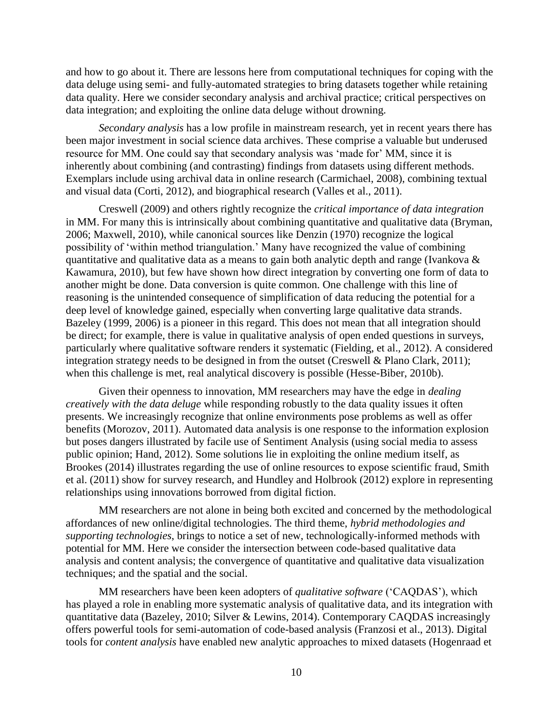and how to go about it. There are lessons here from computational techniques for coping with the data deluge using semi- and fully-automated strategies to bring datasets together while retaining data quality. Here we consider secondary analysis and archival practice; critical perspectives on data integration; and exploiting the online data deluge without drowning.

*Secondary analysis* has a low profile in mainstream research, yet in recent years there has been major investment in social science data archives. These comprise a valuable but underused resource for MM. One could say that secondary analysis was 'made for' MM, since it is inherently about combining (and contrasting) findings from datasets using different methods. Exemplars include using archival data in online research (Carmichael, 2008), combining textual and visual data (Corti, 2012), and biographical research (Valles et al., 2011).

Creswell (2009) and others rightly recognize the *critical importance of data integration* in MM. For many this is intrinsically about combining quantitative and qualitative data (Bryman, 2006; Maxwell, 2010), while canonical sources like Denzin (1970) recognize the logical possibility of 'within method triangulation.' Many have recognized the value of combining quantitative and qualitative data as a means to gain both analytic depth and range (Ivankova  $\&$ Kawamura, 2010), but few have shown how direct integration by converting one form of data to another might be done. Data conversion is quite common. One challenge with this line of reasoning is the unintended consequence of simplification of data reducing the potential for a deep level of knowledge gained, especially when converting large qualitative data strands. Bazeley (1999, 2006) is a pioneer in this regard. This does not mean that all integration should be direct; for example, there is value in qualitative analysis of open ended questions in surveys, particularly where qualitative software renders it systematic (Fielding, et al., 2012). A considered integration strategy needs to be designed in from the outset (Creswell & Plano Clark, 2011); when this challenge is met, real analytical discovery is possible (Hesse-Biber, 2010b).

Given their openness to innovation, MM researchers may have the edge in *dealing creatively with the data deluge* while responding robustly to the data quality issues it often presents. We increasingly recognize that online environments pose problems as well as offer benefits (Morozov, 2011). Automated data analysis is one response to the information explosion but poses dangers illustrated by facile use of Sentiment Analysis (using social media to assess public opinion; Hand, 2012). Some solutions lie in exploiting the online medium itself, as Brookes (2014) illustrates regarding the use of online resources to expose scientific fraud, Smith et al. (2011) show for survey research, and Hundley and Holbrook (2012) explore in representing relationships using innovations borrowed from digital fiction.

MM researchers are not alone in being both excited and concerned by the methodological affordances of new online/digital technologies. The third theme, *hybrid methodologies and supporting technologies*, brings to notice a set of new, technologically-informed methods with potential for MM. Here we consider the intersection between code-based qualitative data analysis and content analysis; the convergence of quantitative and qualitative data visualization techniques; and the spatial and the social.

MM researchers have been keen adopters of *qualitative software* ('CAQDAS'), which has played a role in enabling more systematic analysis of qualitative data, and its integration with quantitative data (Bazeley, 2010; Silver & Lewins, 2014). Contemporary CAQDAS increasingly offers powerful tools for semi-automation of code-based analysis (Franzosi et al., 2013). Digital tools for *content analysis* have enabled new analytic approaches to mixed datasets (Hogenraad et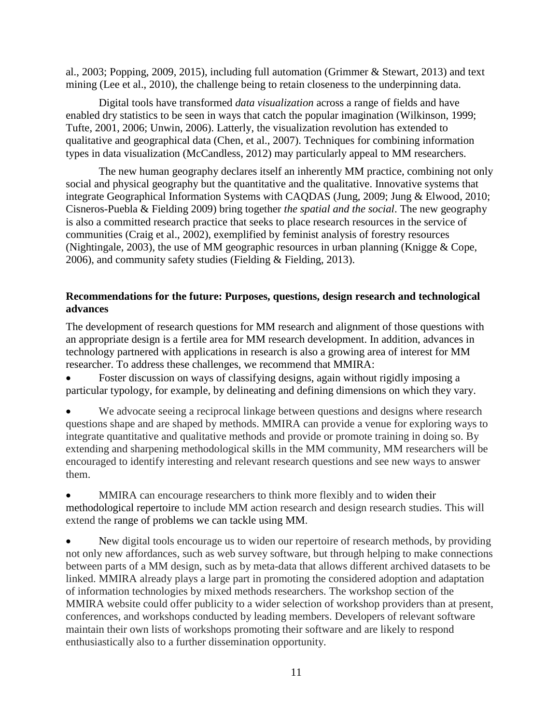al., 2003; Popping, 2009, 2015), including full automation (Grimmer & Stewart, 2013) and text mining (Lee et al., 2010), the challenge being to retain closeness to the underpinning data.

Digital tools have transformed *data visualization* across a range of fields and have enabled dry statistics to be seen in ways that catch the popular imagination (Wilkinson, 1999; Tufte, 2001, 2006; Unwin, 2006). Latterly, the visualization revolution has extended to qualitative and geographical data (Chen, et al., 2007). Techniques for combining information types in data visualization (McCandless, 2012) may particularly appeal to MM researchers.

The new human geography declares itself an inherently MM practice, combining not only social and physical geography but the quantitative and the qualitative. Innovative systems that integrate Geographical Information Systems with CAQDAS (Jung, 2009; Jung & Elwood, 2010; Cisneros-Puebla & Fielding 2009) bring together *the spatial and the social*. The new geography is also a committed research practice that seeks to place research resources in the service of communities (Craig et al., 2002), exemplified by feminist analysis of forestry resources (Nightingale, 2003), the use of MM geographic resources in urban planning (Knigge & Cope, 2006), and community safety studies (Fielding & Fielding, 2013).

# **Recommendations for the future: Purposes, questions, design research and technological advances**

The development of research questions for MM research and alignment of those questions with an appropriate design is a fertile area for MM research development. In addition, advances in technology partnered with applications in research is also a growing area of interest for MM researcher. To address these challenges, we recommend that MMIRA:

 Foster discussion on ways of classifying designs, again without rigidly imposing a particular typology, for example, by delineating and defining dimensions on which they vary.

 We advocate seeing a reciprocal linkage between questions and designs where research questions shape and are shaped by methods. MMIRA can provide a venue for exploring ways to integrate quantitative and qualitative methods and provide or promote training in doing so. By extending and sharpening methodological skills in the MM community, MM researchers will be encouraged to identify interesting and relevant research questions and see new ways to answer them.

 MMIRA can encourage researchers to think more flexibly and to widen their methodological repertoire to include MM action research and design research studies. This will extend the range of problems we can tackle using MM.

 New digital tools encourage us to widen our repertoire of research methods, by providing not only new affordances, such as web survey software, but through helping to make connections between parts of a MM design, such as by meta-data that allows different archived datasets to be linked. MMIRA already plays a large part in promoting the considered adoption and adaptation of information technologies by mixed methods researchers. The workshop section of the MMIRA website could offer publicity to a wider selection of workshop providers than at present, conferences, and workshops conducted by leading members. Developers of relevant software maintain their own lists of workshops promoting their software and are likely to respond enthusiastically also to a further dissemination opportunity.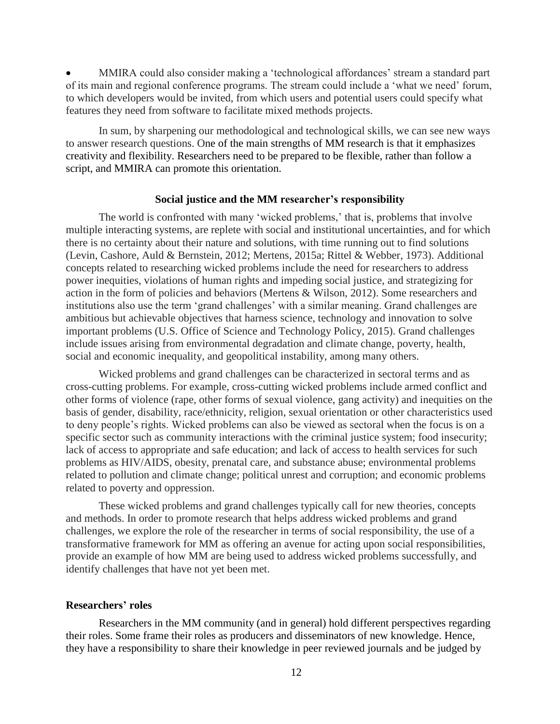MMIRA could also consider making a 'technological affordances' stream a standard part of its main and regional conference programs. The stream could include a 'what we need' forum, to which developers would be invited, from which users and potential users could specify what features they need from software to facilitate mixed methods projects.

In sum, by sharpening our methodological and technological skills, we can see new ways to answer research questions. One of the main strengths of MM research is that it emphasizes creativity and flexibility. Researchers need to be prepared to be flexible, rather than follow a script, and MMIRA can promote this orientation.

#### **Social justice and the MM researcher's responsibility**

The world is confronted with many 'wicked problems,' that is, problems that involve multiple interacting systems, are replete with social and institutional uncertainties, and for which there is no certainty about their nature and solutions, with time running out to find solutions (Levin, Cashore, Auld & Bernstein, 2012; Mertens, 2015a; Rittel & Webber, 1973). Additional concepts related to researching wicked problems include the need for researchers to address power inequities, violations of human rights and impeding social justice, and strategizing for action in the form of policies and behaviors (Mertens & Wilson, 2012). Some researchers and institutions also use the term 'grand challenges' with a similar meaning. Grand challenges are ambitious but achievable objectives that harness science, technology and innovation to solve important problems (U.S. Office of Science and Technology Policy, 2015). Grand challenges include issues arising from environmental degradation and climate change, poverty, health, social and economic inequality, and geopolitical instability, among many others.

Wicked problems and grand challenges can be characterized in sectoral terms and as cross-cutting problems. For example, cross-cutting wicked problems include armed conflict and other forms of violence (rape, other forms of sexual violence, gang activity) and inequities on the basis of gender, disability, race/ethnicity, religion, sexual orientation or other characteristics used to deny people's rights. Wicked problems can also be viewed as sectoral when the focus is on a specific sector such as community interactions with the criminal justice system; food insecurity; lack of access to appropriate and safe education; and lack of access to health services for such problems as HIV/AIDS, obesity, prenatal care, and substance abuse; environmental problems related to pollution and climate change; political unrest and corruption; and economic problems related to poverty and oppression.

These wicked problems and grand challenges typically call for new theories, concepts and methods. In order to promote research that helps address wicked problems and grand challenges, we explore the role of the researcher in terms of social responsibility, the use of a transformative framework for MM as offering an avenue for acting upon social responsibilities, provide an example of how MM are being used to address wicked problems successfully, and identify challenges that have not yet been met.

#### **Researchers' roles**

Researchers in the MM community (and in general) hold different perspectives regarding their roles. Some frame their roles as producers and disseminators of new knowledge. Hence, they have a responsibility to share their knowledge in peer reviewed journals and be judged by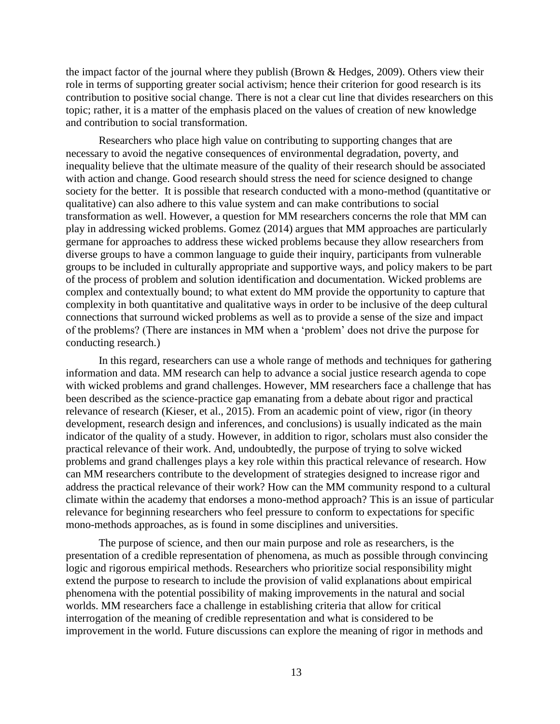the impact factor of the journal where they publish (Brown & Hedges, 2009). Others view their role in terms of supporting greater social activism; hence their criterion for good research is its contribution to positive social change. There is not a clear cut line that divides researchers on this topic; rather, it is a matter of the emphasis placed on the values of creation of new knowledge and contribution to social transformation.

Researchers who place high value on contributing to supporting changes that are necessary to avoid the negative consequences of environmental degradation, poverty, and inequality believe that the ultimate measure of the quality of their research should be associated with action and change. Good research should stress the need for science designed to change society for the better. It is possible that research conducted with a mono-method (quantitative or qualitative) can also adhere to this value system and can make contributions to social transformation as well. However, a question for MM researchers concerns the role that MM can play in addressing wicked problems. Gomez (2014) argues that MM approaches are particularly germane for approaches to address these wicked problems because they allow researchers from diverse groups to have a common language to guide their inquiry, participants from vulnerable groups to be included in culturally appropriate and supportive ways, and policy makers to be part of the process of problem and solution identification and documentation. Wicked problems are complex and contextually bound; to what extent do MM provide the opportunity to capture that complexity in both quantitative and qualitative ways in order to be inclusive of the deep cultural connections that surround wicked problems as well as to provide a sense of the size and impact of the problems? (There are instances in MM when a 'problem' does not drive the purpose for conducting research.)

In this regard, researchers can use a whole range of methods and techniques for gathering information and data. MM research can help to advance a social justice research agenda to cope with wicked problems and grand challenges. However, MM researchers face a challenge that has been described as the science-practice gap emanating from a debate about rigor and practical relevance of research (Kieser, et al., 2015). From an academic point of view, rigor (in theory development, research design and inferences, and conclusions) is usually indicated as the main indicator of the quality of a study. However, in addition to rigor, scholars must also consider the practical relevance of their work. And, undoubtedly, the purpose of trying to solve wicked problems and grand challenges plays a key role within this practical relevance of research. How can MM researchers contribute to the development of strategies designed to increase rigor and address the practical relevance of their work? How can the MM community respond to a cultural climate within the academy that endorses a mono-method approach? This is an issue of particular relevance for beginning researchers who feel pressure to conform to expectations for specific mono-methods approaches, as is found in some disciplines and universities.

The purpose of science, and then our main purpose and role as researchers, is the presentation of a credible representation of phenomena, as much as possible through convincing logic and rigorous empirical methods. Researchers who prioritize social responsibility might extend the purpose to research to include the provision of valid explanations about empirical phenomena with the potential possibility of making improvements in the natural and social worlds. MM researchers face a challenge in establishing criteria that allow for critical interrogation of the meaning of credible representation and what is considered to be improvement in the world. Future discussions can explore the meaning of rigor in methods and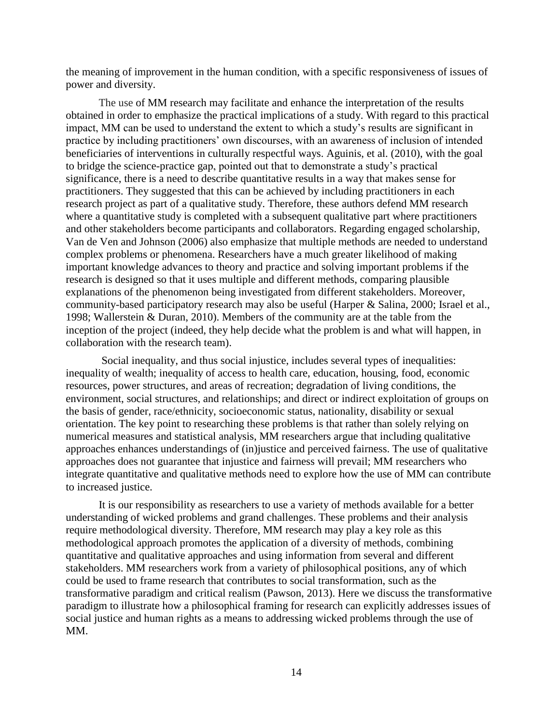the meaning of improvement in the human condition, with a specific responsiveness of issues of power and diversity.

The use of MM research may facilitate and enhance the interpretation of the results obtained in order to emphasize the practical implications of a study. With regard to this practical impact, MM can be used to understand the extent to which a study's results are significant in practice by including practitioners' own discourses, with an awareness of inclusion of intended beneficiaries of interventions in culturally respectful ways. Aguinis, et al. (2010), with the goal to bridge the science-practice gap, pointed out that to demonstrate a study's practical significance, there is a need to describe quantitative results in a way that makes sense for practitioners. They suggested that this can be achieved by including practitioners in each research project as part of a qualitative study. Therefore, these authors defend MM research where a quantitative study is completed with a subsequent qualitative part where practitioners and other stakeholders become participants and collaborators. Regarding engaged scholarship, Van de Ven and Johnson (2006) also emphasize that multiple methods are needed to understand complex problems or phenomena. Researchers have a much greater likelihood of making important knowledge advances to theory and practice and solving important problems if the research is designed so that it uses multiple and different methods, comparing plausible explanations of the phenomenon being investigated from different stakeholders. Moreover, community-based participatory research may also be useful (Harper & Salina, 2000; Israel et al., 1998; Wallerstein & Duran, 2010). Members of the community are at the table from the inception of the project (indeed, they help decide what the problem is and what will happen, in collaboration with the research team).

Social inequality, and thus social injustice, includes several types of inequalities: inequality of wealth; inequality of access to health care, education, housing, food, economic resources, power structures, and areas of recreation; degradation of living conditions, the environment, social structures, and relationships; and direct or indirect exploitation of groups on the basis of gender, race/ethnicity, socioeconomic status, nationality, disability or sexual orientation. The key point to researching these problems is that rather than solely relying on numerical measures and statistical analysis, MM researchers argue that including qualitative approaches enhances understandings of (in)justice and perceived fairness. The use of qualitative approaches does not guarantee that injustice and fairness will prevail; MM researchers who integrate quantitative and qualitative methods need to explore how the use of MM can contribute to increased justice.

It is our responsibility as researchers to use a variety of methods available for a better understanding of wicked problems and grand challenges. These problems and their analysis require methodological diversity. Therefore, MM research may play a key role as this methodological approach promotes the application of a diversity of methods, combining quantitative and qualitative approaches and using information from several and different stakeholders. MM researchers work from a variety of philosophical positions, any of which could be used to frame research that contributes to social transformation, such as the transformative paradigm and critical realism (Pawson, 2013). Here we discuss the transformative paradigm to illustrate how a philosophical framing for research can explicitly addresses issues of social justice and human rights as a means to addressing wicked problems through the use of MM.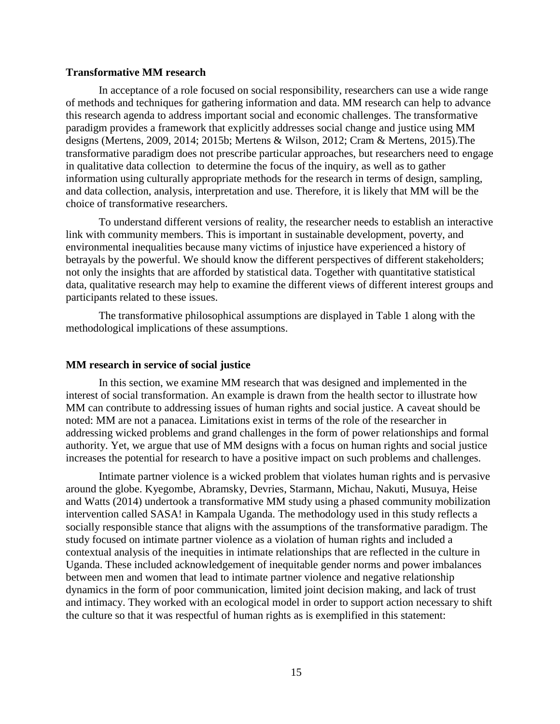### **Transformative MM research**

In acceptance of a role focused on social responsibility, researchers can use a wide range of methods and techniques for gathering information and data. MM research can help to advance this research agenda to address important social and economic challenges. The transformative paradigm provides a framework that explicitly addresses social change and justice using MM designs (Mertens, 2009, 2014; 2015b; Mertens & Wilson, 2012; Cram & Mertens, 2015).The transformative paradigm does not prescribe particular approaches, but researchers need to engage in qualitative data collection to determine the focus of the inquiry, as well as to gather information using culturally appropriate methods for the research in terms of design, sampling, and data collection, analysis, interpretation and use. Therefore, it is likely that MM will be the choice of transformative researchers.

To understand different versions of reality, the researcher needs to establish an interactive link with community members. This is important in sustainable development, poverty, and environmental inequalities because many victims of injustice have experienced a history of betrayals by the powerful. We should know the different perspectives of different stakeholders; not only the insights that are afforded by statistical data. Together with quantitative statistical data, qualitative research may help to examine the different views of different interest groups and participants related to these issues.

The transformative philosophical assumptions are displayed in Table 1 along with the methodological implications of these assumptions.

#### **MM research in service of social justice**

In this section, we examine MM research that was designed and implemented in the interest of social transformation. An example is drawn from the health sector to illustrate how MM can contribute to addressing issues of human rights and social justice. A caveat should be noted: MM are not a panacea. Limitations exist in terms of the role of the researcher in addressing wicked problems and grand challenges in the form of power relationships and formal authority. Yet, we argue that use of MM designs with a focus on human rights and social justice increases the potential for research to have a positive impact on such problems and challenges.

Intimate partner violence is a wicked problem that violates human rights and is pervasive around the globe. Kyegombe, Abramsky, Devries, Starmann, Michau, Nakuti, Musuya, Heise and Watts (2014) undertook a transformative MM study using a phased community mobilization intervention called SASA! in Kampala Uganda. The methodology used in this study reflects a socially responsible stance that aligns with the assumptions of the transformative paradigm. The study focused on intimate partner violence as a violation of human rights and included a contextual analysis of the inequities in intimate relationships that are reflected in the culture in Uganda. These included acknowledgement of inequitable gender norms and power imbalances between men and women that lead to intimate partner violence and negative relationship dynamics in the form of poor communication, limited joint decision making, and lack of trust and intimacy. They worked with an ecological model in order to support action necessary to shift the culture so that it was respectful of human rights as is exemplified in this statement: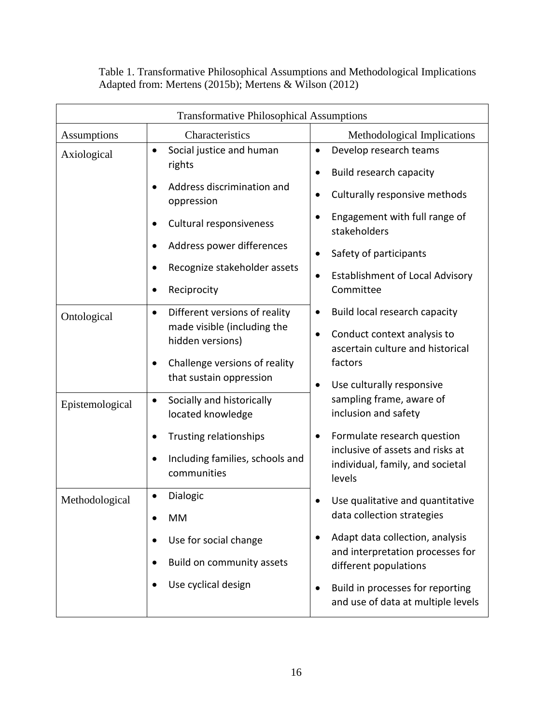| <b>Transformative Philosophical Assumptions</b> |                                                                                                                                                                                                                          |                                                                                                                                                                                                                                                                                       |
|-------------------------------------------------|--------------------------------------------------------------------------------------------------------------------------------------------------------------------------------------------------------------------------|---------------------------------------------------------------------------------------------------------------------------------------------------------------------------------------------------------------------------------------------------------------------------------------|
| <b>Assumptions</b>                              | Characteristics                                                                                                                                                                                                          | Methodological Implications                                                                                                                                                                                                                                                           |
| Axiological                                     | Social justice and human<br>$\bullet$<br>rights<br>Address discrimination and<br>oppression<br>Cultural responsiveness<br>Address power differences<br>Recognize stakeholder assets<br>Reciprocity                       | Develop research teams<br>$\bullet$<br>Build research capacity<br>$\bullet$<br>Culturally responsive methods<br>$\bullet$<br>Engagement with full range of<br>$\bullet$<br>stakeholders<br>Safety of participants<br><b>Establishment of Local Advisory</b><br>$\bullet$<br>Committee |
| Ontological<br>Epistemological                  | Different versions of reality<br>$\bullet$<br>made visible (including the<br>hidden versions)<br>Challenge versions of reality<br>that sustain oppression<br>Socially and historically<br>$\bullet$<br>located knowledge | Build local research capacity<br>$\bullet$<br>Conduct context analysis to<br>ascertain culture and historical<br>factors<br>Use culturally responsive<br>$\bullet$<br>sampling frame, aware of<br>inclusion and safety                                                                |
|                                                 | Trusting relationships<br>Including families, schools and<br>communities                                                                                                                                                 | Formulate research question<br>inclusive of assets and risks at<br>individual, family, and societal<br>levels                                                                                                                                                                         |
| Methodological                                  | Dialogic<br><b>MM</b>                                                                                                                                                                                                    | Use qualitative and quantitative<br>data collection strategies                                                                                                                                                                                                                        |
|                                                 | Use for social change<br>Build on community assets<br>Use cyclical design                                                                                                                                                | Adapt data collection, analysis<br>and interpretation processes for<br>different populations<br>Build in processes for reporting<br>$\bullet$<br>and use of data at multiple levels                                                                                                   |

Table 1. Transformative Philosophical Assumptions and Methodological Implications Adapted from: Mertens (2015b); Mertens & Wilson (2012)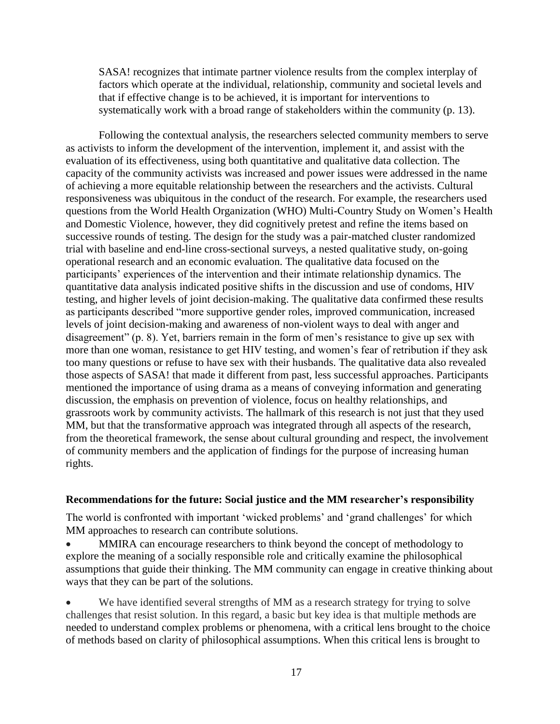SASA! recognizes that intimate partner violence results from the complex interplay of factors which operate at the individual, relationship, community and societal levels and that if effective change is to be achieved, it is important for interventions to systematically work with a broad range of stakeholders within the community (p. 13).

Following the contextual analysis, the researchers selected community members to serve as activists to inform the development of the intervention, implement it, and assist with the evaluation of its effectiveness, using both quantitative and qualitative data collection. The capacity of the community activists was increased and power issues were addressed in the name of achieving a more equitable relationship between the researchers and the activists. Cultural responsiveness was ubiquitous in the conduct of the research. For example, the researchers used questions from the World Health Organization (WHO) Multi-Country Study on Women's Health and Domestic Violence, however, they did cognitively pretest and refine the items based on successive rounds of testing. The design for the study was a pair-matched cluster randomized trial with baseline and end-line cross-sectional surveys, a nested qualitative study, on-going operational research and an economic evaluation. The qualitative data focused on the participants' experiences of the intervention and their intimate relationship dynamics. The quantitative data analysis indicated positive shifts in the discussion and use of condoms, HIV testing, and higher levels of joint decision-making. The qualitative data confirmed these results as participants described "more supportive gender roles, improved communication, increased levels of joint decision-making and awareness of non-violent ways to deal with anger and disagreement" (p. 8). Yet, barriers remain in the form of men's resistance to give up sex with more than one woman, resistance to get HIV testing, and women's fear of retribution if they ask too many questions or refuse to have sex with their husbands. The qualitative data also revealed those aspects of SASA! that made it different from past, less successful approaches. Participants mentioned the importance of using drama as a means of conveying information and generating discussion, the emphasis on prevention of violence, focus on healthy relationships, and grassroots work by community activists. The hallmark of this research is not just that they used MM, but that the transformative approach was integrated through all aspects of the research, from the theoretical framework, the sense about cultural grounding and respect, the involvement of community members and the application of findings for the purpose of increasing human rights.

#### **Recommendations for the future: Social justice and the MM researcher's responsibility**

The world is confronted with important 'wicked problems' and 'grand challenges' for which MM approaches to research can contribute solutions.

 MMIRA can encourage researchers to think beyond the concept of methodology to explore the meaning of a socially responsible role and critically examine the philosophical assumptions that guide their thinking. The MM community can engage in creative thinking about ways that they can be part of the solutions.

 We have identified several strengths of MM as a research strategy for trying to solve challenges that resist solution. In this regard, a basic but key idea is that multiple methods are needed to understand complex problems or phenomena, with a critical lens brought to the choice of methods based on clarity of philosophical assumptions. When this critical lens is brought to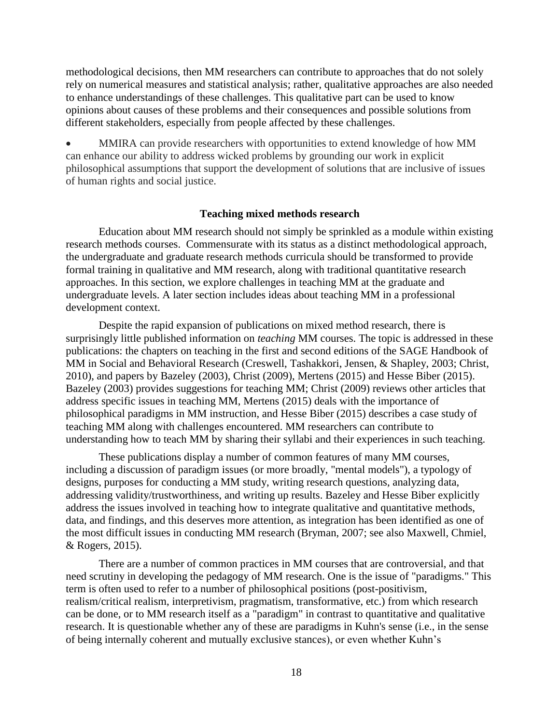methodological decisions, then MM researchers can contribute to approaches that do not solely rely on numerical measures and statistical analysis; rather, qualitative approaches are also needed to enhance understandings of these challenges. This qualitative part can be used to know opinions about causes of these problems and their consequences and possible solutions from different stakeholders, especially from people affected by these challenges.

 MMIRA can provide researchers with opportunities to extend knowledge of how MM can enhance our ability to address wicked problems by grounding our work in explicit philosophical assumptions that support the development of solutions that are inclusive of issues of human rights and social justice.

## **Teaching mixed methods research**

Education about MM research should not simply be sprinkled as a module within existing research methods courses. Commensurate with its status as a distinct methodological approach, the undergraduate and graduate research methods curricula should be transformed to provide formal training in qualitative and MM research, along with traditional quantitative research approaches. In this section, we explore challenges in teaching MM at the graduate and undergraduate levels. A later section includes ideas about teaching MM in a professional development context.

Despite the rapid expansion of publications on mixed method research, there is surprisingly little published information on *teaching* MM courses. The topic is addressed in these publications: the chapters on teaching in the first and second editions of the SAGE Handbook of MM in Social and Behavioral Research (Creswell, Tashakkori, Jensen, & Shapley, 2003; Christ, 2010), and papers by Bazeley (2003), Christ (2009), Mertens (2015) and Hesse Biber (2015). Bazeley (2003) provides suggestions for teaching MM; Christ (2009) reviews other articles that address specific issues in teaching MM, Mertens (2015) deals with the importance of philosophical paradigms in MM instruction, and Hesse Biber (2015) describes a case study of teaching MM along with challenges encountered. MM researchers can contribute to understanding how to teach MM by sharing their syllabi and their experiences in such teaching.

These publications display a number of common features of many MM courses, including a discussion of paradigm issues (or more broadly, "mental models"), a typology of designs, purposes for conducting a MM study, writing research questions, analyzing data, addressing validity/trustworthiness, and writing up results. Bazeley and Hesse Biber explicitly address the issues involved in teaching how to integrate qualitative and quantitative methods, data, and findings, and this deserves more attention, as integration has been identified as one of the most difficult issues in conducting MM research (Bryman, 2007; see also Maxwell, Chmiel, & Rogers, 2015).

There are a number of common practices in MM courses that are controversial, and that need scrutiny in developing the pedagogy of MM research. One is the issue of "paradigms." This term is often used to refer to a number of philosophical positions (post-positivism, realism/critical realism, interpretivism, pragmatism, transformative, etc.) from which research can be done, or to MM research itself as a "paradigm" in contrast to quantitative and qualitative research. It is questionable whether any of these are paradigms in Kuhn's sense (i.e., in the sense of being internally coherent and mutually exclusive stances), or even whether Kuhn's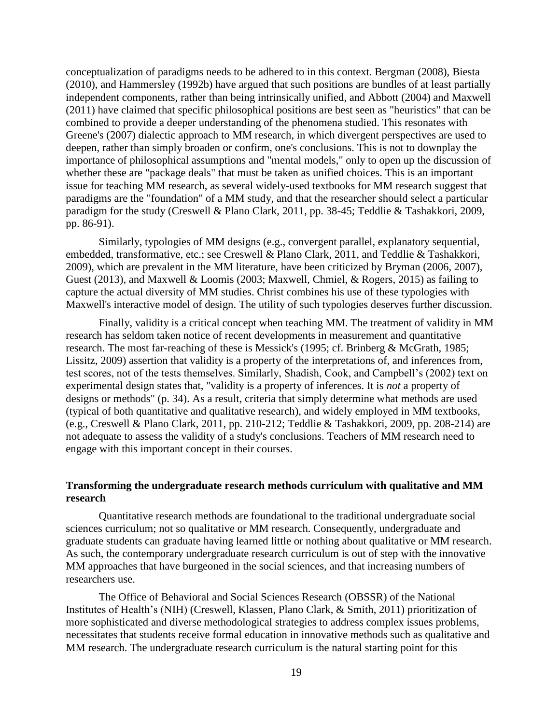conceptualization of paradigms needs to be adhered to in this context. Bergman (2008), Biesta (2010), and Hammersley (1992b) have argued that such positions are bundles of at least partially independent components, rather than being intrinsically unified, and Abbott (2004) and Maxwell (2011) have claimed that specific philosophical positions are best seen as "heuristics" that can be combined to provide a deeper understanding of the phenomena studied. This resonates with Greene's (2007) dialectic approach to MM research, in which divergent perspectives are used to deepen, rather than simply broaden or confirm, one's conclusions. This is not to downplay the importance of philosophical assumptions and "mental models," only to open up the discussion of whether these are "package deals" that must be taken as unified choices. This is an important issue for teaching MM research, as several widely-used textbooks for MM research suggest that paradigms are the "foundation" of a MM study, and that the researcher should select a particular paradigm for the study (Creswell & Plano Clark, 2011, pp. 38-45; Teddlie & Tashakkori, 2009, pp. 86-91).

Similarly, typologies of MM designs (e.g., convergent parallel, explanatory sequential, embedded, transformative, etc.; see Creswell & Plano Clark, 2011, and Teddlie & Tashakkori, 2009), which are prevalent in the MM literature, have been criticized by Bryman (2006, 2007), Guest (2013), and Maxwell & Loomis (2003; Maxwell, Chmiel, & Rogers, 2015) as failing to capture the actual diversity of MM studies. Christ combines his use of these typologies with Maxwell's interactive model of design. The utility of such typologies deserves further discussion.

Finally, validity is a critical concept when teaching MM. The treatment of validity in MM research has seldom taken notice of recent developments in measurement and quantitative research. The most far-reaching of these is Messick's (1995; cf. Brinberg & McGrath, 1985; Lissitz, 2009) assertion that validity is a property of the interpretations of, and inferences from, test scores, not of the tests themselves. Similarly, Shadish, Cook, and Campbell's (2002) text on experimental design states that, "validity is a property of inferences. It is *not* a property of designs or methods" (p. 34). As a result, criteria that simply determine what methods are used (typical of both quantitative and qualitative research), and widely employed in MM textbooks, (e.g., Creswell & Plano Clark, 2011, pp. 210-212; Teddlie & Tashakkori, 2009, pp. 208-214) are not adequate to assess the validity of a study's conclusions. Teachers of MM research need to engage with this important concept in their courses.

## **Transforming the undergraduate research methods curriculum with qualitative and MM research**

Quantitative research methods are foundational to the traditional undergraduate social sciences curriculum; not so qualitative or MM research. Consequently, undergraduate and graduate students can graduate having learned little or nothing about qualitative or MM research. As such, the contemporary undergraduate research curriculum is out of step with the innovative MM approaches that have burgeoned in the social sciences, and that increasing numbers of researchers use.

The Office of Behavioral and Social Sciences Research (OBSSR) of the National Institutes of Health's (NIH) (Creswell, Klassen, Plano Clark, & Smith, 2011) prioritization of more sophisticated and diverse methodological strategies to address complex issues problems, necessitates that students receive formal education in innovative methods such as qualitative and MM research. The undergraduate research curriculum is the natural starting point for this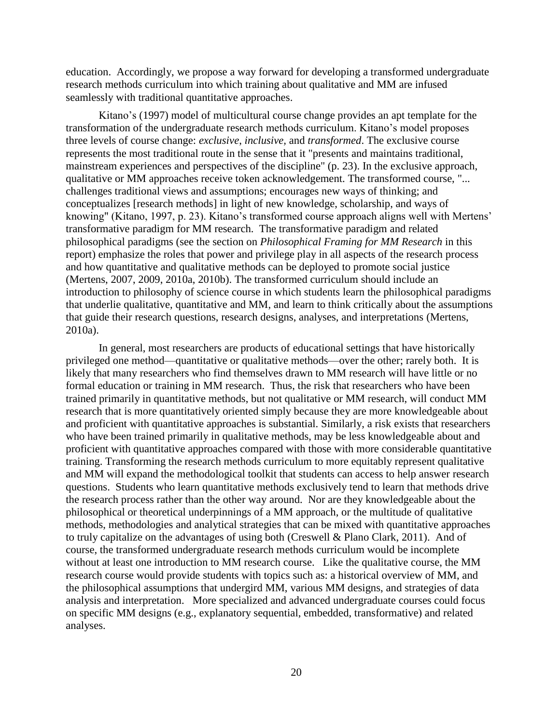education. Accordingly, we propose a way forward for developing a transformed undergraduate research methods curriculum into which training about qualitative and MM are infused seamlessly with traditional quantitative approaches.

Kitano's (1997) model of multicultural course change provides an apt template for the transformation of the undergraduate research methods curriculum. Kitano's model proposes three levels of course change: *exclusive*, *inclusive,* and *transformed*. The exclusive course represents the most traditional route in the sense that it "presents and maintains traditional, mainstream experiences and perspectives of the discipline" (p. 23). In the exclusive approach, qualitative or MM approaches receive token acknowledgement. The transformed course, "... challenges traditional views and assumptions; encourages new ways of thinking; and conceptualizes [research methods] in light of new knowledge, scholarship, and ways of knowing" (Kitano, 1997, p. 23). Kitano's transformed course approach aligns well with Mertens' transformative paradigm for MM research. The transformative paradigm and related philosophical paradigms (see the section on *Philosophical Framing for MM Research* in this report) emphasize the roles that power and privilege play in all aspects of the research process and how quantitative and qualitative methods can be deployed to promote social justice (Mertens, 2007, 2009, 2010a, 2010b). The transformed curriculum should include an introduction to philosophy of science course in which students learn the philosophical paradigms that underlie qualitative, quantitative and MM, and learn to think critically about the assumptions that guide their research questions, research designs, analyses, and interpretations (Mertens, 2010a).

In general, most researchers are products of educational settings that have historically privileged one method—quantitative or qualitative methods—over the other; rarely both. It is likely that many researchers who find themselves drawn to MM research will have little or no formal education or training in MM research. Thus, the risk that researchers who have been trained primarily in quantitative methods, but not qualitative or MM research, will conduct MM research that is more quantitatively oriented simply because they are more knowledgeable about and proficient with quantitative approaches is substantial. Similarly, a risk exists that researchers who have been trained primarily in qualitative methods, may be less knowledgeable about and proficient with quantitative approaches compared with those with more considerable quantitative training. Transforming the research methods curriculum to more equitably represent qualitative and MM will expand the methodological toolkit that students can access to help answer research questions. Students who learn quantitative methods exclusively tend to learn that methods drive the research process rather than the other way around. Nor are they knowledgeable about the philosophical or theoretical underpinnings of a MM approach, or the multitude of qualitative methods, methodologies and analytical strategies that can be mixed with quantitative approaches to truly capitalize on the advantages of using both (Creswell & Plano Clark, 2011). And of course, the transformed undergraduate research methods curriculum would be incomplete without at least one introduction to MM research course. Like the qualitative course, the MM research course would provide students with topics such as: a historical overview of MM, and the philosophical assumptions that undergird MM, various MM designs, and strategies of data analysis and interpretation. More specialized and advanced undergraduate courses could focus on specific MM designs (e.g., explanatory sequential, embedded, transformative) and related analyses.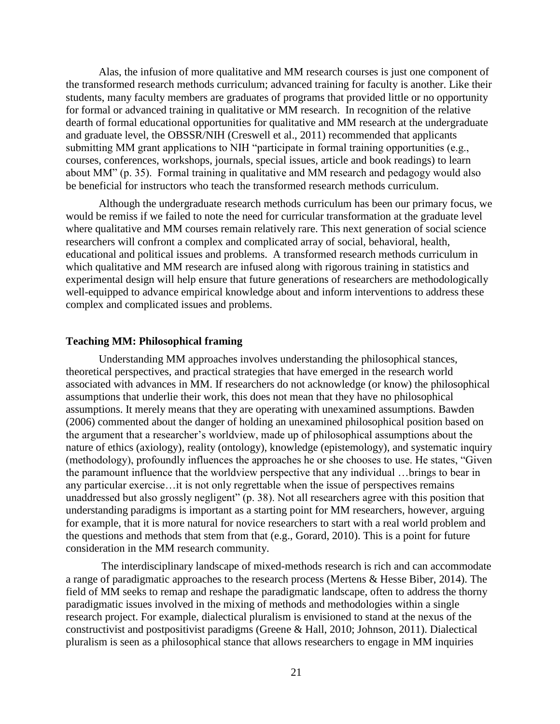Alas, the infusion of more qualitative and MM research courses is just one component of the transformed research methods curriculum; advanced training for faculty is another. Like their students, many faculty members are graduates of programs that provided little or no opportunity for formal or advanced training in qualitative or MM research. In recognition of the relative dearth of formal educational opportunities for qualitative and MM research at the undergraduate and graduate level, the OBSSR/NIH (Creswell et al., 2011) recommended that applicants submitting MM grant applications to NIH "participate in formal training opportunities (e.g., courses, conferences, workshops, journals, special issues, article and book readings) to learn about MM" (p. 35). Formal training in qualitative and MM research and pedagogy would also be beneficial for instructors who teach the transformed research methods curriculum.

Although the undergraduate research methods curriculum has been our primary focus, we would be remiss if we failed to note the need for curricular transformation at the graduate level where qualitative and MM courses remain relatively rare. This next generation of social science researchers will confront a complex and complicated array of social, behavioral, health, educational and political issues and problems. A transformed research methods curriculum in which qualitative and MM research are infused along with rigorous training in statistics and experimental design will help ensure that future generations of researchers are methodologically well-equipped to advance empirical knowledge about and inform interventions to address these complex and complicated issues and problems.

## **Teaching MM: Philosophical framing**

Understanding MM approaches involves understanding the philosophical stances, theoretical perspectives, and practical strategies that have emerged in the research world associated with advances in MM. If researchers do not acknowledge (or know) the philosophical assumptions that underlie their work, this does not mean that they have no philosophical assumptions. It merely means that they are operating with unexamined assumptions. Bawden (2006) commented about the danger of holding an unexamined philosophical position based on the argument that a researcher's worldview, made up of philosophical assumptions about the nature of ethics (axiology), reality (ontology), knowledge (epistemology), and systematic inquiry (methodology), profoundly influences the approaches he or she chooses to use. He states, "Given the paramount influence that the worldview perspective that any individual …brings to bear in any particular exercise…it is not only regrettable when the issue of perspectives remains unaddressed but also grossly negligent" (p. 38). Not all researchers agree with this position that understanding paradigms is important as a starting point for MM researchers, however, arguing for example, that it is more natural for novice researchers to start with a real world problem and the questions and methods that stem from that (e.g., Gorard, 2010). This is a point for future consideration in the MM research community.

The interdisciplinary landscape of mixed-methods research is rich and can accommodate a range of paradigmatic approaches to the research process (Mertens & Hesse Biber, 2014). The field of MM seeks to remap and reshape the paradigmatic landscape, often to address the thorny paradigmatic issues involved in the mixing of methods and methodologies within a single research project. For example, dialectical pluralism is envisioned to stand at the nexus of the constructivist and postpositivist paradigms (Greene & Hall, 2010; Johnson, 2011). Dialectical pluralism is seen as a philosophical stance that allows researchers to engage in MM inquiries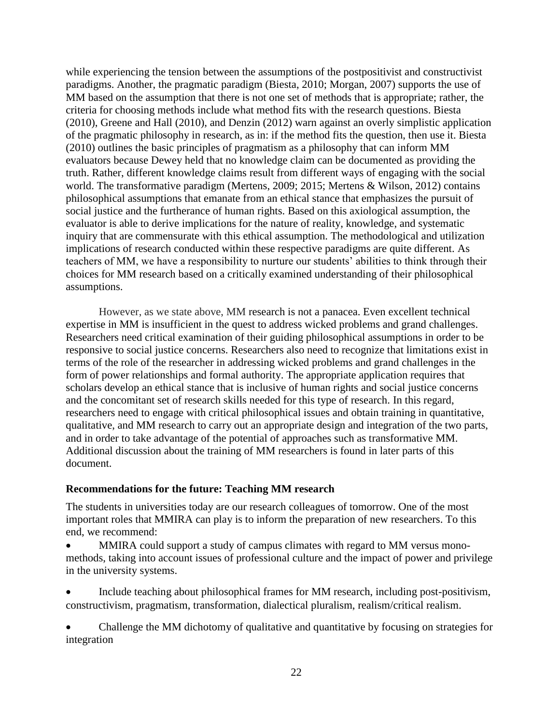while experiencing the tension between the assumptions of the postpositivist and constructivist paradigms. Another, the pragmatic paradigm (Biesta, 2010; Morgan, 2007) supports the use of MM based on the assumption that there is not one set of methods that is appropriate; rather, the criteria for choosing methods include what method fits with the research questions. Biesta (2010), Greene and Hall (2010), and Denzin (2012) warn against an overly simplistic application of the pragmatic philosophy in research, as in: if the method fits the question, then use it. Biesta (2010) outlines the basic principles of pragmatism as a philosophy that can inform MM evaluators because Dewey held that no knowledge claim can be documented as providing the truth. Rather, different knowledge claims result from different ways of engaging with the social world. The transformative paradigm (Mertens, 2009; 2015; Mertens & Wilson, 2012) contains philosophical assumptions that emanate from an ethical stance that emphasizes the pursuit of social justice and the furtherance of human rights. Based on this axiological assumption, the evaluator is able to derive implications for the nature of reality, knowledge, and systematic inquiry that are commensurate with this ethical assumption. The methodological and utilization implications of research conducted within these respective paradigms are quite different. As teachers of MM, we have a responsibility to nurture our students' abilities to think through their choices for MM research based on a critically examined understanding of their philosophical assumptions.

However, as we state above, MM research is not a panacea. Even excellent technical expertise in MM is insufficient in the quest to address wicked problems and grand challenges. Researchers need critical examination of their guiding philosophical assumptions in order to be responsive to social justice concerns. Researchers also need to recognize that limitations exist in terms of the role of the researcher in addressing wicked problems and grand challenges in the form of power relationships and formal authority. The appropriate application requires that scholars develop an ethical stance that is inclusive of human rights and social justice concerns and the concomitant set of research skills needed for this type of research. In this regard, researchers need to engage with critical philosophical issues and obtain training in quantitative, qualitative, and MM research to carry out an appropriate design and integration of the two parts, and in order to take advantage of the potential of approaches such as transformative MM. Additional discussion about the training of MM researchers is found in later parts of this document.

## **Recommendations for the future: Teaching MM research**

The students in universities today are our research colleagues of tomorrow. One of the most important roles that MMIRA can play is to inform the preparation of new researchers. To this end, we recommend:

 MMIRA could support a study of campus climates with regard to MM versus monomethods, taking into account issues of professional culture and the impact of power and privilege in the university systems.

 Include teaching about philosophical frames for MM research, including post-positivism, constructivism, pragmatism, transformation, dialectical pluralism, realism/critical realism.

 Challenge the MM dichotomy of qualitative and quantitative by focusing on strategies for integration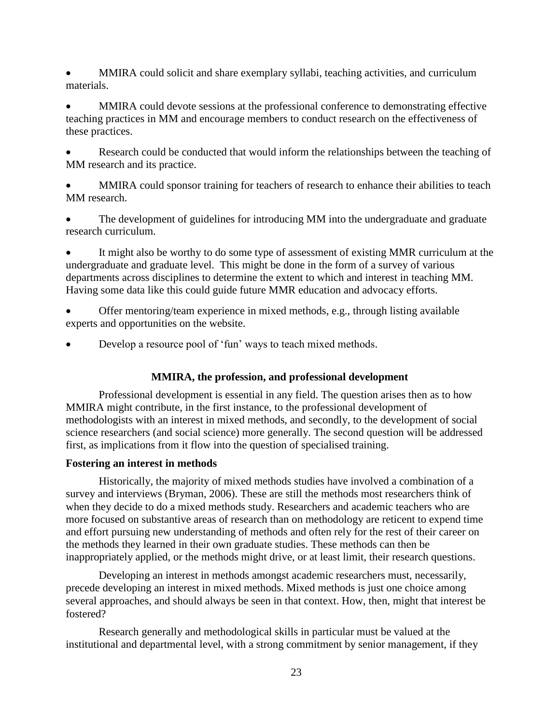MMIRA could solicit and share exemplary syllabi, teaching activities, and curriculum materials.

 MMIRA could devote sessions at the professional conference to demonstrating effective teaching practices in MM and encourage members to conduct research on the effectiveness of these practices.

 Research could be conducted that would inform the relationships between the teaching of MM research and its practice.

 MMIRA could sponsor training for teachers of research to enhance their abilities to teach MM research.

 The development of guidelines for introducing MM into the undergraduate and graduate research curriculum.

 It might also be worthy to do some type of assessment of existing MMR curriculum at the undergraduate and graduate level. This might be done in the form of a survey of various departments across disciplines to determine the extent to which and interest in teaching MM. Having some data like this could guide future MMR education and advocacy efforts.

- Offer mentoring/team experience in mixed methods, e.g., through listing available experts and opportunities on the website.
- Develop a resource pool of 'fun' ways to teach mixed methods.

## **MMIRA, the profession, and professional development**

Professional development is essential in any field. The question arises then as to how MMIRA might contribute, in the first instance, to the professional development of methodologists with an interest in mixed methods, and secondly, to the development of social science researchers (and social science) more generally. The second question will be addressed first, as implications from it flow into the question of specialised training.

## **Fostering an interest in methods**

Historically, the majority of mixed methods studies have involved a combination of a survey and interviews (Bryman, 2006). These are still the methods most researchers think of when they decide to do a mixed methods study. Researchers and academic teachers who are more focused on substantive areas of research than on methodology are reticent to expend time and effort pursuing new understanding of methods and often rely for the rest of their career on the methods they learned in their own graduate studies. These methods can then be inappropriately applied, or the methods might drive, or at least limit, their research questions.

Developing an interest in methods amongst academic researchers must, necessarily, precede developing an interest in mixed methods. Mixed methods is just one choice among several approaches, and should always be seen in that context. How, then, might that interest be fostered?

Research generally and methodological skills in particular must be valued at the institutional and departmental level, with a strong commitment by senior management, if they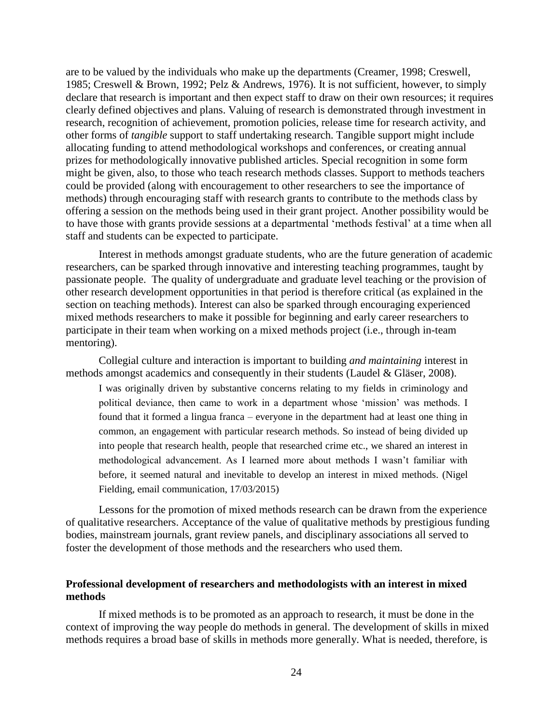are to be valued by the individuals who make up the departments [\(Creamer, 1998;](#page-28-0) [Creswell,](#page-28-1)  [1985;](#page-28-1) Creswell & Brown, 1992; [Pelz & Andrews, 1976\)](#page-32-0). It is not sufficient, however, to simply declare that research is important and then expect staff to draw on their own resources; it requires clearly defined objectives and plans. Valuing of research is demonstrated through investment in research, recognition of achievement, promotion policies, release time for research activity, and other forms of *tangible* support to staff undertaking research. Tangible support might include allocating funding to attend methodological workshops and conferences, or creating annual prizes for methodologically innovative published articles. Special recognition in some form might be given, also, to those who teach research methods classes. Support to methods teachers could be provided (along with encouragement to other researchers to see the importance of methods) through encouraging staff with research grants to contribute to the methods class by offering a session on the methods being used in their grant project. Another possibility would be to have those with grants provide sessions at a departmental 'methods festival' at a time when all staff and students can be expected to participate.

Interest in methods amongst graduate students, who are the future generation of academic researchers, can be sparked through innovative and interesting teaching programmes, taught by passionate people. The quality of undergraduate and graduate level teaching or the provision of other research development opportunities in that period is therefore critical (as explained in the section on teaching methods). Interest can also be sparked through encouraging experienced mixed methods researchers to make it possible for beginning and early career researchers to participate in their team when working on a mixed methods project (i.e., through in-team mentoring).

Collegial culture and interaction is important to building *and maintaining* interest in methods amongst academics and consequently in their students [\(Laudel & Gläser, 2008\)](#page-30-0).

I was originally driven by substantive concerns relating to my fields in criminology and political deviance, then came to work in a department whose 'mission' was methods. I found that it formed a lingua franca – everyone in the department had at least one thing in common, an engagement with particular research methods. So instead of being divided up into people that research health, people that researched crime etc., we shared an interest in methodological advancement. As I learned more about methods I wasn't familiar with before, it seemed natural and inevitable to develop an interest in mixed methods. (Nigel Fielding, email communication, 17/03/2015)

Lessons for the promotion of mixed methods research can be drawn from the experience of qualitative researchers. Acceptance of the value of qualitative methods by prestigious funding bodies, mainstream journals, grant review panels, and disciplinary associations all served to foster the development of those methods and the researchers who used them.

## **Professional development of researchers and methodologists with an interest in mixed methods**

If mixed methods is to be promoted as an approach to research, it must be done in the context of improving the way people do methods in general. The development of skills in mixed methods requires a broad base of skills in methods more generally. What is needed, therefore, is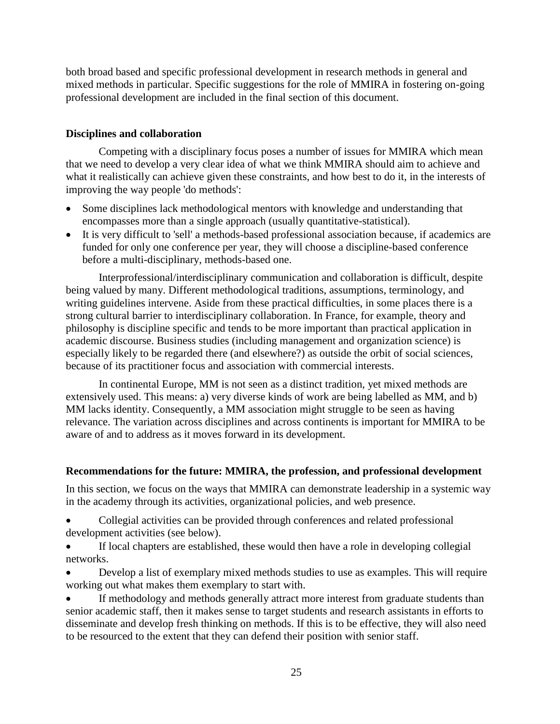both broad based and specific professional development in research methods in general and mixed methods in particular. Specific suggestions for the role of MMIRA in fostering on-going professional development are included in the final section of this document.

## **Disciplines and collaboration**

Competing with a disciplinary focus poses a number of issues for MMIRA which mean that we need to develop a very clear idea of what we think MMIRA should aim to achieve and what it realistically can achieve given these constraints, and how best to do it, in the interests of improving the way people 'do methods':

- Some disciplines lack methodological mentors with knowledge and understanding that encompasses more than a single approach (usually quantitative-statistical).
- It is very difficult to 'sell' a methods-based professional association because, if academics are funded for only one conference per year, they will choose a discipline-based conference before a multi-disciplinary, methods-based one.

Interprofessional/interdisciplinary communication and collaboration is difficult, despite being valued by many. Different methodological traditions, assumptions, terminology, and writing guidelines intervene. Aside from these practical difficulties, in some places there is a strong cultural barrier to interdisciplinary collaboration. In France, for example, theory and philosophy is discipline specific and tends to be more important than practical application in academic discourse. Business studies (including management and organization science) is especially likely to be regarded there (and elsewhere?) as outside the orbit of social sciences, because of its practitioner focus and association with commercial interests.

In continental Europe, MM is not seen as a distinct tradition, yet mixed methods are extensively used. This means: a) very diverse kinds of work are being labelled as MM, and b) MM lacks identity. Consequently, a MM association might struggle to be seen as having relevance. The variation across disciplines and across continents is important for MMIRA to be aware of and to address as it moves forward in its development.

## **Recommendations for the future: MMIRA, the profession, and professional development**

In this section, we focus on the ways that MMIRA can demonstrate leadership in a systemic way in the academy through its activities, organizational policies, and web presence.

 Collegial activities can be provided through conferences and related professional development activities (see below).

 If local chapters are established, these would then have a role in developing collegial networks.

 Develop a list of exemplary mixed methods studies to use as examples. This will require working out what makes them exemplary to start with.

 If methodology and methods generally attract more interest from graduate students than senior academic staff, then it makes sense to target students and research assistants in efforts to disseminate and develop fresh thinking on methods. If this is to be effective, they will also need to be resourced to the extent that they can defend their position with senior staff.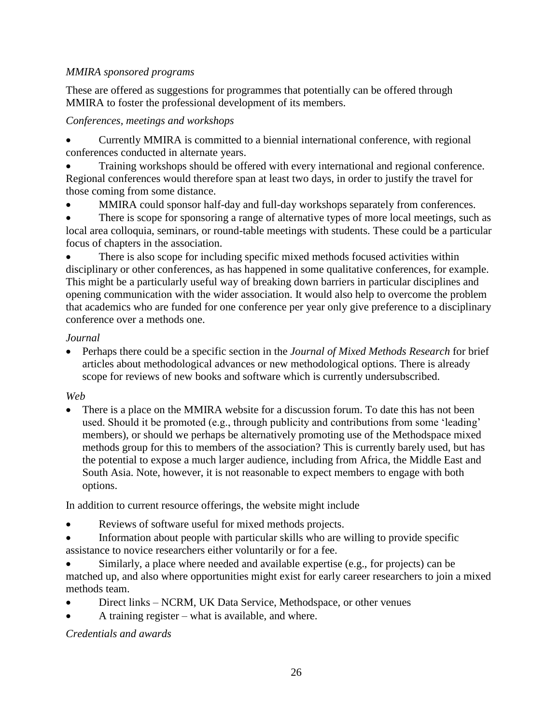# *MMIRA sponsored programs*

These are offered as suggestions for programmes that potentially can be offered through MMIRA to foster the professional development of its members.

# *Conferences, meetings and workshops*

 Currently MMIRA is committed to a biennial international conference, with regional conferences conducted in alternate years.

 Training workshops should be offered with every international and regional conference. Regional conferences would therefore span at least two days, in order to justify the travel for those coming from some distance.

MMIRA could sponsor half-day and full-day workshops separately from conferences.

• There is scope for sponsoring a range of alternative types of more local meetings, such as local area colloquia, seminars, or round-table meetings with students. These could be a particular focus of chapters in the association.

 There is also scope for including specific mixed methods focused activities within disciplinary or other conferences, as has happened in some qualitative conferences, for example. This might be a particularly useful way of breaking down barriers in particular disciplines and opening communication with the wider association. It would also help to overcome the problem that academics who are funded for one conference per year only give preference to a disciplinary conference over a methods one.

# *Journal*

 Perhaps there could be a specific section in the *Journal of Mixed Methods Research* for brief articles about methodological advances or new methodological options. There is already scope for reviews of new books and software which is currently undersubscribed.

# *Web*

 There is a place on the MMIRA website for a discussion forum. To date this has not been used. Should it be promoted (e.g., through publicity and contributions from some 'leading' members), or should we perhaps be alternatively promoting use of the Methodspace mixed methods group for this to members of the association? This is currently barely used, but has the potential to expose a much larger audience, including from Africa, the Middle East and South Asia. Note, however, it is not reasonable to expect members to engage with both options.

In addition to current resource offerings, the website might include

- Reviews of software useful for mixed methods projects.
- Information about people with particular skills who are willing to provide specific assistance to novice researchers either voluntarily or for a fee.

 Similarly, a place where needed and available expertise (e.g., for projects) can be matched up, and also where opportunities might exist for early career researchers to join a mixed methods team.

- Direct links NCRM, UK Data Service, Methodspace, or other venues
- A training register what is available, and where.

*Credentials and awards*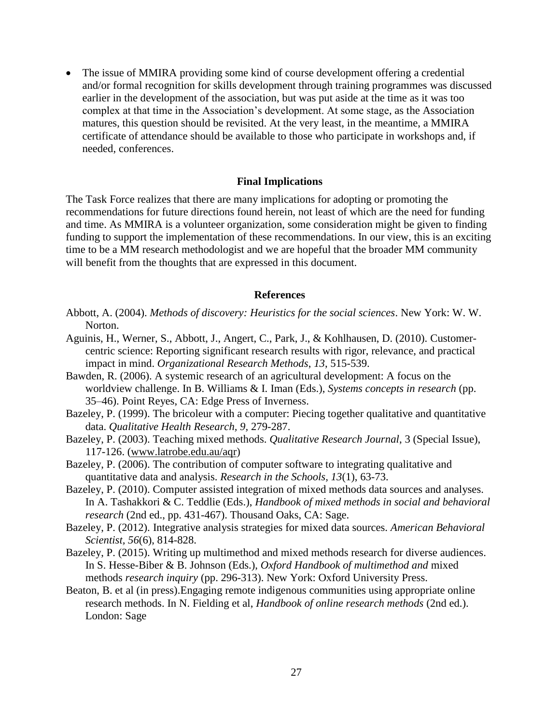The issue of MMIRA providing some kind of course development offering a credential and/or formal recognition for skills development through training programmes was discussed earlier in the development of the association, but was put aside at the time as it was too complex at that time in the Association's development. At some stage, as the Association matures, this question should be revisited. At the very least, in the meantime, a MMIRA certificate of attendance should be available to those who participate in workshops and, if needed, conferences.

### **Final Implications**

The Task Force realizes that there are many implications for adopting or promoting the recommendations for future directions found herein, not least of which are the need for funding and time. As MMIRA is a volunteer organization, some consideration might be given to finding funding to support the implementation of these recommendations. In our view, this is an exciting time to be a MM research methodologist and we are hopeful that the broader MM community will benefit from the thoughts that are expressed in this document.

#### **References**

- Abbott, A. (2004). *Methods of discovery: Heuristics for the social sciences*. New York: W. W. Norton.
- Aguinis, H., Werner, S., Abbott, J., Angert, C., Park, J., & Kohlhausen, D. (2010). Customercentric science: Reporting significant research results with rigor, relevance, and practical impact in mind. *Organizational Research Methods*, *13*, 515-539.
- Bawden, R. (2006). A systemic research of an agricultural development: A focus on the worldview challenge. In B. Williams & I. Iman (Eds.), *Systems concepts in research* (pp. 35–46). Point Reyes, CA: Edge Press of Inverness.
- Bazeley, P. (1999). The bricoleur with a computer: Piecing together qualitative and quantitative data. *Qualitative Health Research, 9,* 279-287.
- Bazeley, P. (2003). Teaching mixed methods. *Qualitative Research Journal*, 3 (Special Issue), 117-126. [\(www.latrobe.edu.au/aqr\)](http://www.latrobe.edu.au/aqr)
- Bazeley, P. (2006). The contribution of computer software to integrating qualitative and quantitative data and analysis. *Research in the Schools, 13*(1), 63-73.
- Bazeley, P. (2010). Computer assisted integration of mixed methods data sources and analyses. In A. Tashakkori & C. Teddlie (Eds.), *Handbook of mixed methods in social and behavioral research* (2nd ed., pp. 431-467). Thousand Oaks, CA: Sage.
- Bazeley, P. (2012). Integrative analysis strategies for mixed data sources. *American Behavioral Scientist, 56*(6), 814-828.
- Bazeley, P. (2015). Writing up multimethod and mixed methods research for diverse audiences. In S. Hesse-Biber & B. Johnson (Eds.), *Oxford Handbook of multimethod and* mixed methods *research inquiry* (pp. 296-313). New York: Oxford University Press.
- Beaton, B. et al (in press).Engaging remote indigenous communities using appropriate online research methods. In N. Fielding et al, *Handbook of online research methods* (2nd ed.). London: Sage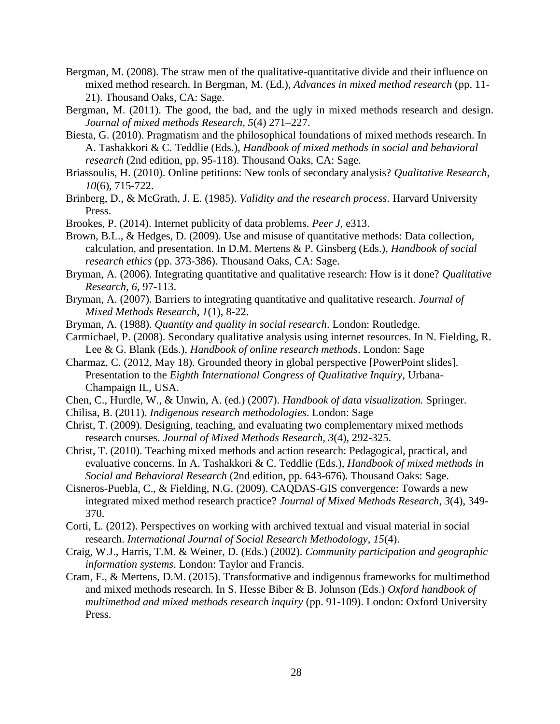- Bergman, M. (2008). The straw men of the qualitative-quantitative divide and their influence on mixed method research. In Bergman, M. (Ed.), *Advances in mixed method research* (pp. 11- 21). Thousand Oaks, CA: Sage.
- Bergman, M. (2011). The good, the bad, and the ugly in mixed methods research and design. *Journal of mixed methods Research, 5*(4) 271–227.
- Biesta, G. (2010). Pragmatism and the philosophical foundations of mixed methods research. In A. Tashakkori & C. Teddlie (Eds.), *Handbook of mixed methods in social and behavioral research* (2nd edition, pp. 95-118). Thousand Oaks, CA: Sage.
- Briassoulis, H. (2010). Online petitions: New tools of secondary analysis? *Qualitative Research*, *10*(6), 715-722.
- Brinberg, D., & McGrath, J. E. (1985). *Validity and the research process*. Harvard University Press.

Brookes, P. (2014). Internet publicity of data problems. *Peer J*, e313.

- Brown, B.L., & Hedges, D. (2009). Use and misuse of quantitative methods: Data collection, calculation, and presentation. In D.M. Mertens & P. Ginsberg (Eds.), *Handbook of social research ethics* (pp. 373-386). Thousand Oaks, CA: Sage.
- Bryman, A. (2006). Integrating quantitative and qualitative research: How is it done? *Qualitative Research*, *6*, 97-113.
- Bryman, A. (2007). Barriers to integrating quantitative and qualitative research. *Journal of Mixed Methods Research*, *1*(1), 8-22.
- Bryman, A. (1988). *Quantity and quality in social research*. London: Routledge.
- Carmichael, P. (2008). Secondary qualitative analysis using internet resources. In N. Fielding, R. Lee & G. Blank (Eds.), *Handbook of online research methods*. London: Sage
- Charmaz, C. (2012, May 18). Grounded theory in global perspective [PowerPoint slides]. Presentation to the *Eighth International Congress of Qualitative Inquiry*, Urbana-Champaign IL, USA.
- Chen, C., Hurdle, W., & Unwin, A. (ed.) (2007). *Handbook of data visualization.* Springer.
- Chilisa, B. (2011). *Indigenous research methodologies*. London: Sage
- Christ, T. (2009). Designing, teaching, and evaluating two complementary mixed methods research courses. *Journal of Mixed Methods Research, 3*(4), 292-325.
- Christ, T. (2010). Teaching mixed methods and action research: Pedagogical, practical, and evaluative concerns. In A. Tashakkori & C. Teddlie (Eds.), *Handbook of mixed methods in Social and Behavioral Research* (2nd edition, pp. 643-676). Thousand Oaks: Sage.
- Cisneros-Puebla, C., & Fielding, N.G. (2009). CAQDAS-GIS convergence: Towards a new integrated mixed method research practice? *Journal of Mixed Methods Research*, *3*(4), 349- 370.
- Corti, L. (2012). Perspectives on working with archived textual and visual material in social research. *International Journal of Social Research Methodology*, *15*(4).
- Craig, W.J., Harris, T.M. & Weiner, D. (Eds.) (2002). *Community participation and geographic information systems*. London: Taylor and Francis.
- Cram, F., & Mertens, D.M. (2015). Transformative and indigenous frameworks for multimethod and mixed methods research. In S. Hesse Biber & B. Johnson (Eds.) *Oxford handbook of multimethod and mixed methods research inquiry* (pp. 91-109). London: Oxford University Press.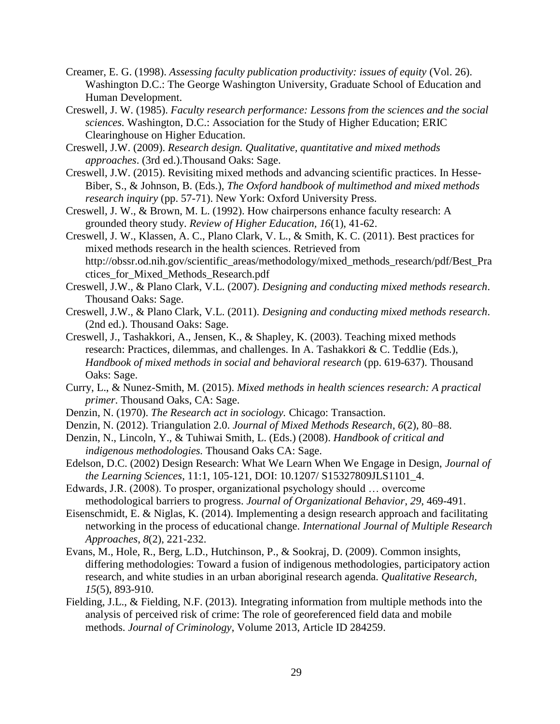- <span id="page-28-0"></span>Creamer, E. G. (1998). *Assessing faculty publication productivity: issues of equity* (Vol. 26). Washington D.C.: The George Washington University, Graduate School of Education and Human Development.
- <span id="page-28-1"></span>Creswell, J. W. (1985). *Faculty research performance: Lessons from the sciences and the social sciences.* Washington, D.C.: Association for the Study of Higher Education; ERIC Clearinghouse on Higher Education.
- Creswell, J.W. (2009). *Research design. Qualitative, quantitative and mixed methods approaches*. (3rd ed.).Thousand Oaks: Sage.
- Creswell, J.W. (2015). Revisiting mixed methods and advancing scientific practices. In Hesse-Biber, S., & Johnson, B. (Eds.), *The Oxford handbook of multimethod and mixed methods research inquiry* (pp. 57-71). New York: Oxford University Press.
- Creswell, J. W., & Brown, M. L. (1992). How chairpersons enhance faculty research: A grounded theory study. *Review of Higher Education, 16*(1), 41-62.
- Creswell, J. W., Klassen, A. C., Plano Clark, V. L., & Smith, K. C. (2011). Best practices for mixed methods research in the health sciences. Retrieved from http://obssr.od.nih.gov/scientific\_areas/methodology/mixed\_methods\_research/pdf/Best\_Pra ctices\_for\_Mixed\_Methods\_Research.pdf
- Creswell, J.W., & Plano Clark, V.L. (2007). *Designing and conducting mixed methods research*. Thousand Oaks: Sage.
- Creswell, J.W., & Plano Clark, V.L. (2011). *Designing and conducting mixed methods research*. (2nd ed.). Thousand Oaks: Sage.
- Creswell, J., Tashakkori, A., Jensen, K., & Shapley, K. (2003). Teaching mixed methods research: Practices, dilemmas, and challenges. In A. Tashakkori & C. Teddlie (Eds.), *Handbook of mixed methods in social and behavioral research (pp. 619-637). Thousand* Oaks: Sage.
- Curry, L., & Nunez-Smith, M. (2015). *Mixed methods in health sciences research: A practical primer*. Thousand Oaks, CA: Sage.
- Denzin, N. (1970). *The Research act in sociology.* Chicago: Transaction.
- Denzin, N. (2012). Triangulation 2.0. *Journal of Mixed Methods Research*, *6*(2), 80–88.
- Denzin, N., Lincoln, Y., & Tuhiwai Smith, L. (Eds.) (2008). *Handbook of critical and indigenous methodologies.* Thousand Oaks CA: Sage.
- Edelson, D.C. (2002) Design Research: What We Learn When We Engage in Design, *Journal of the Learning Sciences*, 11:1, 105-121, DOI: 10.1207/ S15327809JLS1101\_4.
- Edwards, J.R. (2008). To prosper, organizational psychology should … overcome methodological barriers to progress. *Journal of Organizational Behavior*, *29*, 469-491.
- Eisenschmidt, E. & Niglas, K. (2014). Implementing a design research approach and facilitating networking in the process of educational change. *International Journal of Multiple Research Approaches*, *8*(2), 221-232.
- Evans, M., Hole, R., Berg, L.D., Hutchinson, P., & Sookraj, D. (2009). Common insights, differing methodologies: Toward a fusion of indigenous methodologies, participatory action research, and white studies in an urban aboriginal research agenda. *Qualitative Research, 15*(5), 893-910.
- Fielding, J.L., & Fielding, N.F. (2013). Integrating information from multiple methods into the analysis of perceived risk of crime: The role of georeferenced field data and mobile methods. *Journal of Criminology*, Volume 2013, Article ID 284259.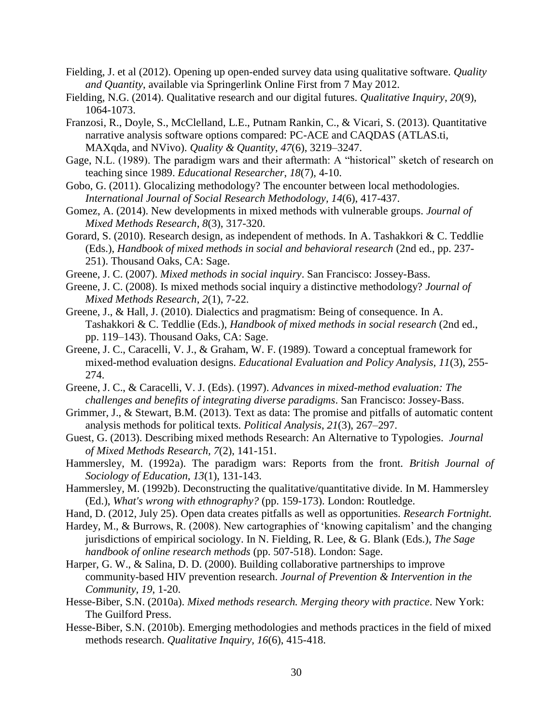- Fielding, J. et al (2012). Opening up open-ended survey data using qualitative software. *Quality and Quantity*, available via Springerlink Online First from 7 May 2012.
- Fielding, N.G. (2014). Qualitative research and our digital futures. *Qualitative Inquiry*, *20*(9), 1064-1073.
- Franzosi, R., Doyle, S., McClelland, L.E., Putnam Rankin, C., & Vicari, S. (2013). Quantitative narrative analysis software options compared: PC-ACE and CAQDAS (ATLAS.ti, MAXqda, and NVivo). *Quality & Quantity*, *47*(6), 3219–3247.
- Gage, N.L. (1989). The paradigm wars and their aftermath: A "historical" sketch of research on teaching since 1989. *Educational Researcher*, *18*(7), 4-10.
- Gobo, G. (2011). Glocalizing methodology? The encounter between local methodologies. *International Journal of Social Research Methodology, 14*(6), 417-437.
- Gomez, A. (2014). New developments in mixed methods with vulnerable groups. *Journal of Mixed Methods Research*, *8*(3), 317-320.
- Gorard, S. (2010). Research design, as independent of methods. In A. Tashakkori & C. Teddlie (Eds.), *Handbook of mixed methods in social and behavioral research* (2nd ed., pp. 237- 251). Thousand Oaks, CA: Sage.
- Greene, J. C. (2007). *Mixed methods in social inquiry*. San Francisco: Jossey-Bass.
- Greene, J. C. (2008). Is mixed methods social inquiry a distinctive methodology? *Journal of Mixed Methods Research*, *2*(1), 7-22.
- Greene, J., & Hall, J. (2010). Dialectics and pragmatism: Being of consequence. In A. Tashakkori & C. Teddlie (Eds.), *Handbook of mixed methods in social research* (2nd ed., pp. 119–143). Thousand Oaks, CA: Sage.
- Greene, J. C., Caracelli, V. J., & Graham, W. F. (1989). Toward a conceptual framework for mixed-method evaluation designs. *Educational Evaluation and Policy Analysis, 11*(3), 255- 274.
- Greene, J. C., & Caracelli, V. J. (Eds). (1997). *Advances in mixed-method evaluation: The challenges and benefits of integrating diverse paradigms*. San Francisco: Jossey-Bass.
- Grimmer, J., & Stewart, B.M. (2013). Text as data: The promise and pitfalls of automatic content analysis methods for political texts. *Political Analysis*, *21*(3), 267–297.
- Guest, G. (2013). Describing mixed methods Research: An Alternative to Typologies. *Journal of Mixed Methods Research, 7*(2), 141-151.
- Hammersley, M. (1992a). The paradigm wars: Reports from the front. *British Journal of Sociology of Education*, *13*(1), 131-143.
- Hammersley, M. (1992b). Deconstructing the qualitative/quantitative divide. In M. Hammersley (Ed.), *What's wrong with ethnography?* (pp. 159-173). London: Routledge.
- Hand, D. (2012, July 25). Open data creates pitfalls as well as opportunities. *Research Fortnight.*
- Hardey, M., & Burrows, R. (2008). New cartographies of 'knowing capitalism' and the changing jurisdictions of empirical sociology. In N. Fielding, R. Lee, & G. Blank (Eds.), *The Sage handbook of online research methods* (pp. 507-518). London: Sage.
- Harper, G. W., & Salina, D. D. (2000). Building collaborative partnerships to improve community-based HIV prevention research. *Journal of Prevention & Intervention in the Community, 19*, 1-20.
- Hesse-Biber, S.N. (2010a). *Mixed methods research. Merging theory with practice*. New York: The Guilford Press.
- Hesse-Biber, S.N. (2010b). Emerging methodologies and methods practices in the field of mixed methods research. *Qualitative Inquiry, 16*(6), 415-418.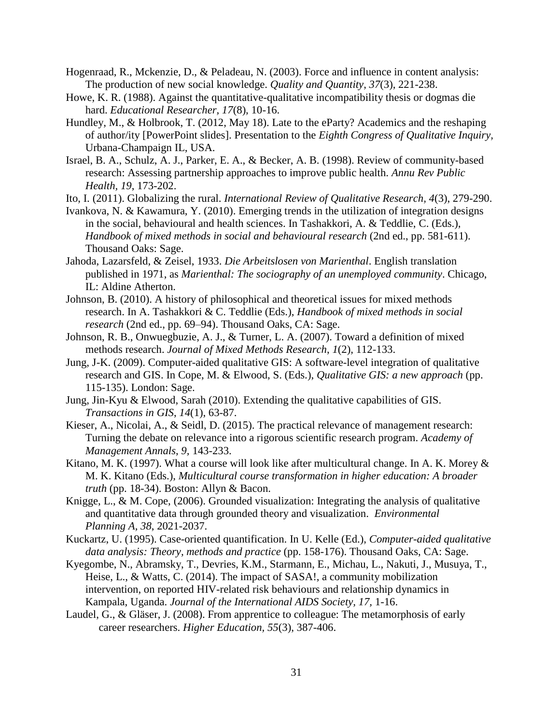- Hogenraad, R., Mckenzie, D., & Peladeau, N. (2003). Force and influence in content analysis: The production of new social knowledge. *Quality and Quantity*, *37*(3), 221-238.
- Howe, K. R. (1988). Against the quantitative-qualitative incompatibility thesis or dogmas die hard. *Educational Researcher, 17*(8), 10-16.
- Hundley, M., & Holbrook, T. (2012, May 18). Late to the eParty? Academics and the reshaping of author/ity [PowerPoint slides]. Presentation to the *Eighth Congress of Qualitative Inquiry,*  Urbana-Champaign IL, USA.
- Israel, B. A., Schulz, A. J., Parker, E. A., & Becker, A. B. (1998). Review of community-based research: Assessing partnership approaches to improve public health. *Annu Rev Public Health, 19*, 173-202.
- Ito, I. (2011). Globalizing the rural. *International Review of Qualitative Research, 4*(3), 279-290.
- Ivankova, N. & Kawamura, Y. (2010). Emerging trends in the utilization of integration designs in the social, behavioural and health sciences. In Tashakkori, A. & Teddlie, C. (Eds.), *Handbook of mixed methods in social and behavioural research* (2nd ed., pp. 581-611). Thousand Oaks: Sage.
- Jahoda, Lazarsfeld, & Zeisel, 1933. *Die Arbeitslosen von Marienthal*. English translation published in 1971, as *Marienthal: The sociography of an unemployed community*. Chicago, IL: Aldine Atherton.
- Johnson, B. (2010). A history of philosophical and theoretical issues for mixed methods research. In A. Tashakkori & C. Teddlie (Eds.), *Handbook of mixed methods in social research* (2nd ed., pp. 69–94). Thousand Oaks, CA: Sage.
- Johnson, R. B., Onwuegbuzie, A. J., & Turner, L. A. (2007). Toward a definition of mixed methods research. *Journal of Mixed Methods Research*, *1*(2), 112-133.
- Jung, J-K. (2009). Computer-aided qualitative GIS: A software-level integration of qualitative research and GIS. In Cope, M. & Elwood, S. (Eds.), *Qualitative GIS: a new approach* (pp. 115-135). London: Sage.
- Jung, Jin-Kyu & Elwood, Sarah (2010). Extending the qualitative capabilities of GIS. *Transactions in GIS*, *14*(1), 63-87.
- Kieser, A., Nicolai, A., & Seidl, D. (2015). The practical relevance of management research: Turning the debate on relevance into a rigorous scientific research program. *Academy of Management Annals*, *9,* 143-233.
- Kitano, M. K. (1997). What a course will look like after multicultural change. In A. K. Morey  $\&$ M. K. Kitano (Eds.), *Multicultural course transformation in higher education: A broader truth* (pp. 18-34). Boston: Allyn & Bacon.
- Knigge, L., & M. Cope, (2006). Grounded visualization: Integrating the analysis of qualitative and quantitative data through grounded theory and visualization. *Environmental Planning A, 38*, 2021-2037.
- Kuckartz, U. (1995). Case-oriented quantification. In U. Kelle (Ed.), *Computer-aided qualitative data analysis: Theory, methods and practice* (pp. 158-176). Thousand Oaks, CA: Sage.
- Kyegombe, N., Abramsky, T., Devries, K.M., Starmann, E., Michau, L., Nakuti, J., Musuya, T., Heise, L., & Watts, C. (2014). The impact of SASA!, a community mobilization intervention, on reported HIV-related risk behaviours and relationship dynamics in Kampala, Uganda. *Journal of the International AIDS Society, 17,* 1-16.
- <span id="page-30-0"></span>Laudel, G., & Gläser, J. (2008). From apprentice to colleague: The metamorphosis of early career researchers. *Higher Education, 55*(3), 387-406.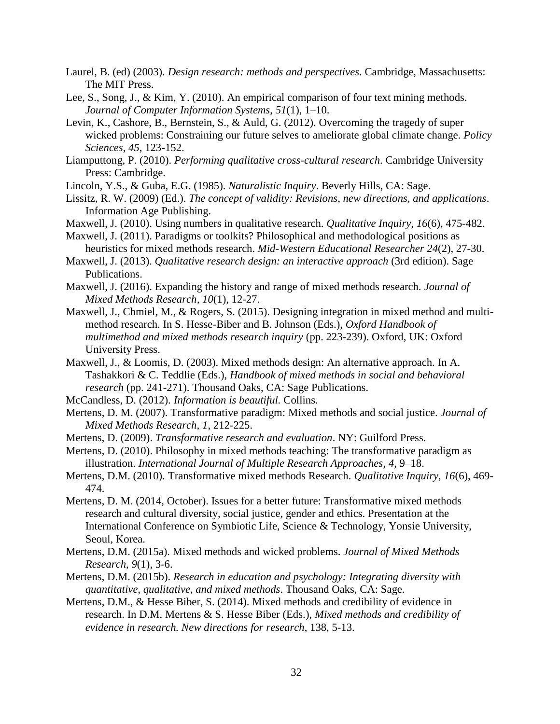- Laurel, B. (ed) (2003). *Design research: methods and perspectives*. Cambridge, Massachusetts: The MIT Press.
- Lee, S., Song, J., & Kim, Y. (2010). An empirical comparison of four text mining methods. *Journal of Computer Information Systems*, *51*(1), 1–10.
- Levin, K., Cashore, B., Bernstein, S., & Auld, G. (2012). Overcoming the tragedy of super wicked problems: Constraining our future selves to ameliorate global climate change. *Policy Sciences*, *45*, 123-152.
- Liamputtong, P. (2010). *Performing qualitative cross-cultural research*. Cambridge University Press: Cambridge.
- Lincoln, Y.S., & Guba, E.G. (1985). *Naturalistic Inquiry*. Beverly Hills, CA: Sage.
- Lissitz, R. W. (2009) (Ed.). *The concept of validity: Revisions, new directions, and applications*. Information Age Publishing.
- Maxwell, J. (2010). Using numbers in qualitative research. *Qualitative Inquiry, 16*(6), 475-482.
- Maxwell, J. (2011). Paradigms or toolkits? Philosophical and methodological positions as heuristics for mixed methods research. *Mid-Western Educational Researcher 24*(2), 27-30.
- Maxwell, J. (2013). *Qualitative research design: an interactive approach* (3rd edition). Sage Publications.
- Maxwell, J. (2016). Expanding the history and range of mixed methods research. *Journal of Mixed Methods Research, 10*(1), 12-27.
- Maxwell, J., Chmiel, M., & Rogers, S. (2015). Designing integration in mixed method and multimethod research. In S. Hesse-Biber and B. Johnson (Eds.), *Oxford Handbook of multimethod and mixed methods research inquiry* (pp. 223-239). Oxford, UK: Oxford University Press.
- Maxwell, J., & Loomis, D. (2003). Mixed methods design: An alternative approach. In A. Tashakkori & C. Teddlie (Eds.), *Handbook of mixed methods in social and behavioral research* (pp. 241-271). Thousand Oaks, CA: Sage Publications.
- McCandless, D. (2012). *Information is beautiful.* Collins.
- Mertens, D. M. (2007). Transformative paradigm: Mixed methods and social justice. *Journal of Mixed Methods Research, 1*, 212-225.
- Mertens, D. (2009). *Transformative research and evaluation*. NY: Guilford Press.
- Mertens, D. (2010). Philosophy in mixed methods teaching: The transformative paradigm as illustration. *International Journal of Multiple Research Approaches, 4*, 9–18.
- Mertens, D.M. (2010). Transformative mixed methods Research. *Qualitative Inquiry, 16*(6), 469- 474.
- Mertens, D. M. (2014, October). Issues for a better future: Transformative mixed methods research and cultural diversity, social justice, gender and ethics. Presentation at the International Conference on Symbiotic Life, Science & Technology, Yonsie University, Seoul, Korea.
- Mertens, D.M. (2015a). Mixed methods and wicked problems. *Journal of Mixed Methods Research*, *9*(1), 3-6.
- Mertens, D.M. (2015b). *Research in education and psychology: Integrating diversity with quantitative, qualitative, and mixed methods*. Thousand Oaks, CA: Sage.
- Mertens, D.M., & Hesse Biber, S. (2014). Mixed methods and credibility of evidence in research. In D.M. Mertens & S. Hesse Biber (Eds.), *Mixed methods and credibility of evidence in research. New directions for research*, 138, 5-13.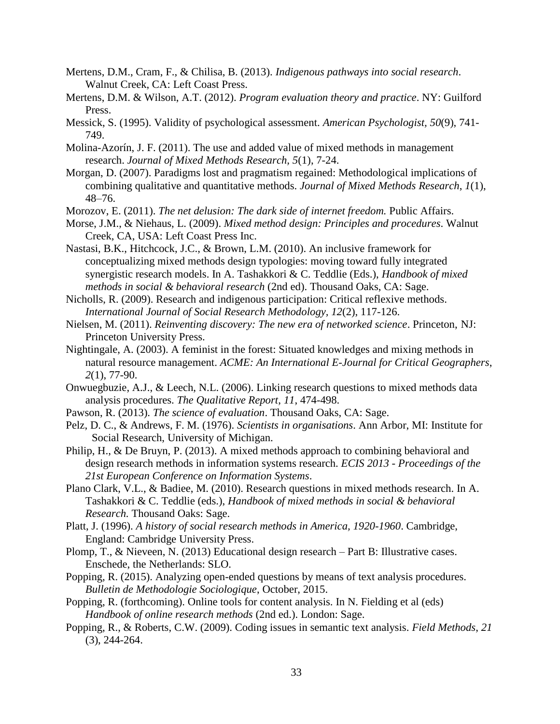- Mertens, D.M., Cram, F., & Chilisa, B. (2013). *Indigenous pathways into social research*. Walnut Creek, CA: Left Coast Press.
- Mertens, D.M. & Wilson, A.T. (2012). *Program evaluation theory and practice*. NY: Guilford Press.
- Messick, S. (1995). Validity of psychological assessment. *American Psychologist, 50*(9), 741- 749.
- Molina-Azorín, J. F. (2011). The use and added value of mixed methods in management research. *Journal of Mixed Methods Research, 5*(1), 7-24.
- Morgan, D. (2007). Paradigms lost and pragmatism regained: Methodological implications of combining qualitative and quantitative methods. *Journal of Mixed Methods Research*, *1*(1), 48–76.
- Morozov, E. (2011). *The net delusion: The dark side of internet freedom.* Public Affairs.
- Morse, J.M., & Niehaus, L. (2009). *Mixed method design: Principles and procedures*. Walnut Creek, CA, USA: Left Coast Press Inc.
- Nastasi, B.K., Hitchcock, J.C., & Brown, L.M. (2010). An inclusive framework for conceptualizing mixed methods design typologies: moving toward fully integrated synergistic research models. In A. Tashakkori & C. Teddlie (Eds.), *Handbook of mixed methods in social & behavioral research* (2nd ed). Thousand Oaks, CA: Sage.
- Nicholls, R. (2009). Research and indigenous participation: Critical reflexive methods. *International Journal of Social Research Methodology, 12*(2), 117-126.
- Nielsen, M. (2011). *Reinventing discovery: The new era of networked science*. Princeton, NJ: Princeton University Press.
- Nightingale, A. (2003). A feminist in the forest: Situated knowledges and mixing methods in natural resource management. *ACME: An International E-Journal for Critical Geographers*, *2*(1), 77-90.
- Onwuegbuzie, A.J., & Leech, N.L. (2006). Linking research questions to mixed methods data analysis procedures. *The Qualitative Report*, *11*, 474-498.
- <span id="page-32-0"></span>Pawson, R. (2013). *The science of evaluation*. Thousand Oaks, CA: Sage.
- Pelz, D. C., & Andrews, F. M. (1976). *Scientists in organisations*. Ann Arbor, MI: Institute for Social Research, University of Michigan.
- Philip, H., & De Bruyn, P. (2013). A mixed methods approach to combining behavioral and design research methods in information systems research. *ECIS 2013 - Proceedings of the 21st European Conference on Information Systems*.
- Plano Clark, V.L., & Badiee, M. (2010). Research questions in mixed methods research. In A. Tashakkori & C. Teddlie (eds.), *Handbook of mixed methods in social & behavioral Research.* Thousand Oaks: Sage.
- Platt, J. (1996). *A history of social research methods in America, 1920-1960*. Cambridge, England: Cambridge University Press.
- Plomp, T., & Nieveen, N. (2013) Educational design research Part B: Illustrative cases. Enschede, the Netherlands: SLO.
- Popping, R. (2015). Analyzing open-ended questions by means of text analysis procedures. *Bulletin de Methodologie Sociologique*, October, 2015.
- Popping, R. (forthcoming). Online tools for content analysis. In N. Fielding et al (eds) *Handbook of online research methods* (2nd ed.). London: Sage.
- Popping, R., & Roberts, C.W. (2009). Coding issues in semantic text analysis. *Field Methods*, *21* (3), 244-264.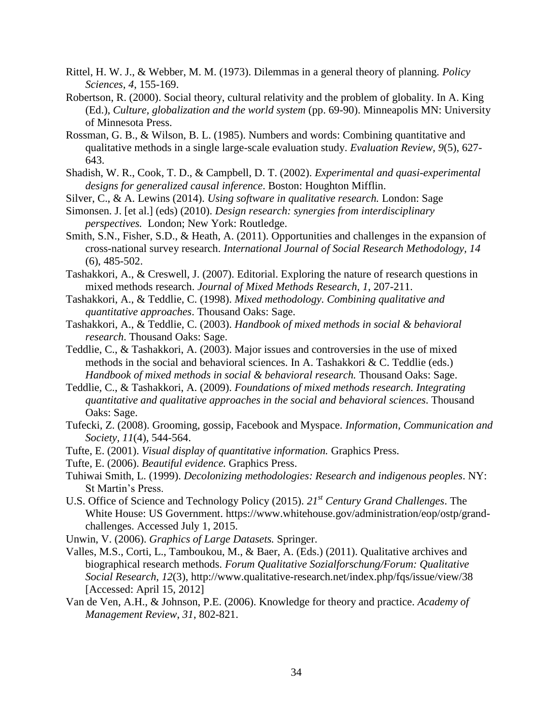- Rittel, H. W. J., & Webber, M. M. (1973). Dilemmas in a general theory of planning*. Policy Sciences*, *4*, 155-169.
- Robertson, R. (2000). Social theory, cultural relativity and the problem of globality. In A. King (Ed.), *Culture, globalization and the world system* (pp. 69-90). Minneapolis MN: University of Minnesota Press.
- Rossman, G. B., & Wilson, B. L. (1985). Numbers and words: Combining quantitative and qualitative methods in a single large-scale evaluation study. *Evaluation Review, 9*(5), 627- 643.
- Shadish, W. R., Cook, T. D., & Campbell, D. T. (2002). *Experimental and quasi-experimental designs for generalized causal inference*. Boston: Houghton Mifflin.
- Silver, C., & A. Lewins (2014). *Using software in qualitative research.* London: Sage
- Simonsen. J. [et al.] (eds) (2010). *Design research: synergies from interdisciplinary perspectives.* London; New York: Routledge.
- Smith, S.N., Fisher, S.D., & Heath, A. (2011). Opportunities and challenges in the expansion of cross-national survey research. *International Journal of Social Research Methodology, 14*  (6), 485-502.
- Tashakkori, A., & Creswell, J. (2007). Editorial. Exploring the nature of research questions in mixed methods research. *Journal of Mixed Methods Research*, *1*, 207-211.
- Tashakkori, A., & Teddlie, C. (1998). *Mixed methodology. Combining qualitative and quantitative approaches*. Thousand Oaks: Sage.
- Tashakkori, A., & Teddlie, C. (2003). *Handbook of mixed methods in social & behavioral research*. Thousand Oaks: Sage.
- Teddlie, C., & Tashakkori, A. (2003). Major issues and controversies in the use of mixed methods in the social and behavioral sciences. In A. Tashakkori & C. Teddlie (eds.) *Handbook of mixed methods in social & behavioral research.* Thousand Oaks: Sage.
- Teddlie, C., & Tashakkori, A. (2009). *Foundations of mixed methods research. Integrating quantitative and qualitative approaches in the social and behavioral sciences*. Thousand Oaks: Sage.
- Tufecki, Z. (2008). Grooming, gossip, Facebook and Myspace. *Information, Communication and Society, 11*(4), 544-564.
- Tufte, E. (2001). *Visual display of quantitative information.* Graphics Press.
- Tufte, E. (2006). *Beautiful evidence.* Graphics Press.
- Tuhiwai Smith, L. (1999). *Decolonizing methodologies: Research and indigenous peoples*. NY: St Martin's Press.
- U.S. Office of Science and Technology Policy (2015). *21st Century Grand Challenges*. The White House: US Government. [https://www.whitehouse.gov/administration/eop/ostp/grand](https://www.whitehouse.gov/administration/eop/ostp/grand-challenges.%20Accessed%20July%201)[challenges. Accessed July 1,](https://www.whitehouse.gov/administration/eop/ostp/grand-challenges.%20Accessed%20July%201) 2015.
- Unwin, V. (2006). *Graphics of Large Datasets.* Springer.
- [Valles, M.S.,](http://www.qualitative-research.net/index.php/fqs/about/displayMembership/2#_blank) Corti, L., Tamboukou, M., & Baer, A. (Eds.) (2011). Qualitative archives and biographical research methods. *Forum Qualitative Sozialforschung/Forum: Qualitative Social Research*, *12*(3),<http://www.qualitative-research.net/index.php/fqs/issue/view/38> [Accessed: April 15, 2012]
- Van de Ven, A.H., & Johnson, P.E. (2006). Knowledge for theory and practice. *Academy of Management Review*, *31*, 802-821.